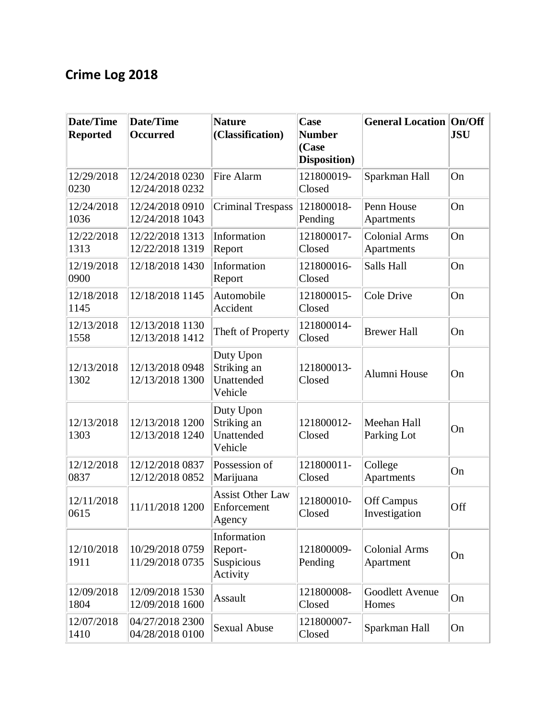## **Crime Log 2018**

| <b>Date/Time</b><br><b>Reported</b> | Date/Time<br><b>Occurred</b>       | <b>Nature</b><br>(Classification)                 | Case<br><b>Number</b><br>(Case<br>Disposition) | <b>General Location On/Off</b>     | <b>JSU</b> |
|-------------------------------------|------------------------------------|---------------------------------------------------|------------------------------------------------|------------------------------------|------------|
| 12/29/2018<br>0230                  | 12/24/2018 0230<br>12/24/2018 0232 | Fire Alarm                                        | 121800019-<br>Closed                           | Sparkman Hall                      | On         |
| 12/24/2018<br>1036                  | 12/24/2018 0910<br>12/24/2018 1043 | <b>Criminal Trespass</b>                          | 121800018-<br>Pending                          | Penn House<br>Apartments           | On         |
| 12/22/2018<br>1313                  | 12/22/2018 1313<br>12/22/2018 1319 | Information<br>Report                             | 121800017-<br>Closed                           | <b>Colonial Arms</b><br>Apartments | On         |
| 12/19/2018<br>0900                  | 12/18/2018 1430                    | Information<br>Report                             | 121800016-<br>Closed                           | Salls Hall                         | On         |
| 12/18/2018<br>1145                  | 12/18/2018 1145                    | Automobile<br>Accident                            | 121800015-<br>Closed                           | Cole Drive                         | On         |
| 12/13/2018<br>1558                  | 12/13/2018 1130<br>12/13/2018 1412 | Theft of Property                                 | 121800014-<br>Closed                           | <b>Brewer Hall</b>                 | On         |
| 12/13/2018<br>1302                  | 12/13/2018 0948<br>12/13/2018 1300 | Duty Upon<br>Striking an<br>Unattended<br>Vehicle | 121800013-<br>Closed                           | Alumni House                       | On         |
| 12/13/2018<br>1303                  | 12/13/2018 1200<br>12/13/2018 1240 | Duty Upon<br>Striking an<br>Unattended<br>Vehicle | 121800012-<br>Closed                           | Meehan Hall<br>Parking Lot         | On         |
| 12/12/2018<br>0837                  | 12/12/2018 0837<br>12/12/2018 0852 | Possession of<br>Marijuana                        | 121800011-<br>Closed                           | College<br>Apartments              | On         |
| 12/11/2018<br>0615                  | 11/11/2018 1200                    | <b>Assist Other Law</b><br>Enforcement<br>Agency  | 121800010-<br>Closed                           | Off Campus<br>Investigation        | Off        |
| 12/10/2018<br>1911                  | 10/29/2018 0759<br>11/29/2018 0735 | Information<br>Report-<br>Suspicious<br>Activity  | 121800009-<br>Pending                          | <b>Colonial Arms</b><br>Apartment  | On         |
| 12/09/2018<br>1804                  | 12/09/2018 1530<br>12/09/2018 1600 | Assault                                           | 121800008-<br>Closed                           | Goodlett Avenue<br>Homes           | On         |
| 12/07/2018<br>1410                  | 04/27/2018 2300<br>04/28/2018 0100 | <b>Sexual Abuse</b>                               | 121800007-<br>Closed                           | Sparkman Hall                      | On         |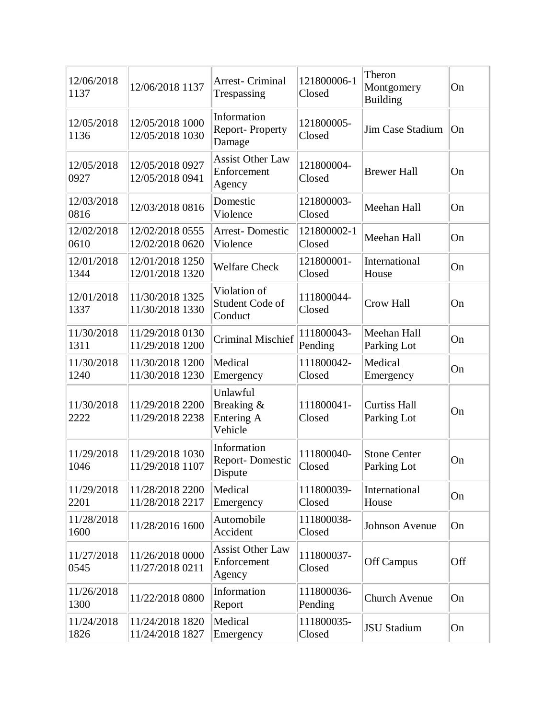| 12/06/2018<br>1137 | 12/06/2018 1137                    | Arrest- Criminal<br>Trespassing                  | 121800006-1<br>Closed | Theron<br>Montgomery<br><b>Building</b> | On  |
|--------------------|------------------------------------|--------------------------------------------------|-----------------------|-----------------------------------------|-----|
| 12/05/2018<br>1136 | 12/05/2018 1000<br>12/05/2018 1030 | Information<br>Report-Property<br>Damage         | 121800005-<br>Closed  | Jim Case Stadium                        | On  |
| 12/05/2018<br>0927 | 12/05/2018 0927<br>12/05/2018 0941 | <b>Assist Other Law</b><br>Enforcement<br>Agency | 121800004-<br>Closed  | <b>Brewer Hall</b>                      | On  |
| 12/03/2018<br>0816 | 12/03/2018 0816                    | Domestic<br>Violence                             | 121800003-<br>Closed  | Meehan Hall                             | On  |
| 12/02/2018<br>0610 | 12/02/2018 0555<br>12/02/2018 0620 | <b>Arrest-Domestic</b><br>Violence               | 121800002-1<br>Closed | Meehan Hall                             | On  |
| 12/01/2018<br>1344 | 12/01/2018 1250<br>12/01/2018 1320 | <b>Welfare Check</b>                             | 121800001-<br>Closed  | International<br>House                  | On  |
| 12/01/2018<br>1337 | 11/30/2018 1325<br>11/30/2018 1330 | Violation of<br>Student Code of<br>Conduct       | 111800044-<br>Closed  | <b>Crow Hall</b>                        | On  |
| 11/30/2018<br>1311 | 11/29/2018 0130<br>11/29/2018 1200 | <b>Criminal Mischief</b>                         | 111800043-<br>Pending | Meehan Hall<br>Parking Lot              | On  |
| 11/30/2018<br>1240 | 11/30/2018 1200<br>11/30/2018 1230 | Medical<br>Emergency                             | 111800042-<br>Closed  | Medical<br>Emergency                    | On  |
| 11/30/2018<br>2222 | 11/29/2018 2200<br>11/29/2018 2238 | Unlawful<br>Breaking &<br>Entering A<br>Vehicle  | 111800041-<br>Closed  | <b>Curtiss Hall</b><br>Parking Lot      | On  |
| 11/29/2018<br>1046 | 11/29/2018 1030<br>11/29/2018 1107 | Information<br>Report-Domestic<br>Dispute        | 111800040-<br>Closed  | <b>Stone Center</b><br>Parking Lot      | On  |
| 11/29/2018<br>2201 | 11/28/2018 2200<br>11/28/2018 2217 | Medical<br>Emergency                             | 111800039-<br>Closed  | International<br>House                  | On  |
| 11/28/2018<br>1600 | 11/28/2016 1600                    | Automobile<br>Accident                           | 111800038-<br>Closed  | <b>Johnson Avenue</b>                   | On  |
| 11/27/2018<br>0545 | 11/26/2018 0000<br>11/27/2018 0211 | <b>Assist Other Law</b><br>Enforcement<br>Agency | 111800037-<br>Closed  | Off Campus                              | Off |
| 11/26/2018<br>1300 | 11/22/2018 0800                    | Information<br>Report                            | 111800036-<br>Pending | Church Avenue                           | On  |
| 11/24/2018<br>1826 | 11/24/2018 1820<br>11/24/2018 1827 | Medical<br>Emergency                             | 111800035-<br>Closed  | <b>JSU Stadium</b>                      | On  |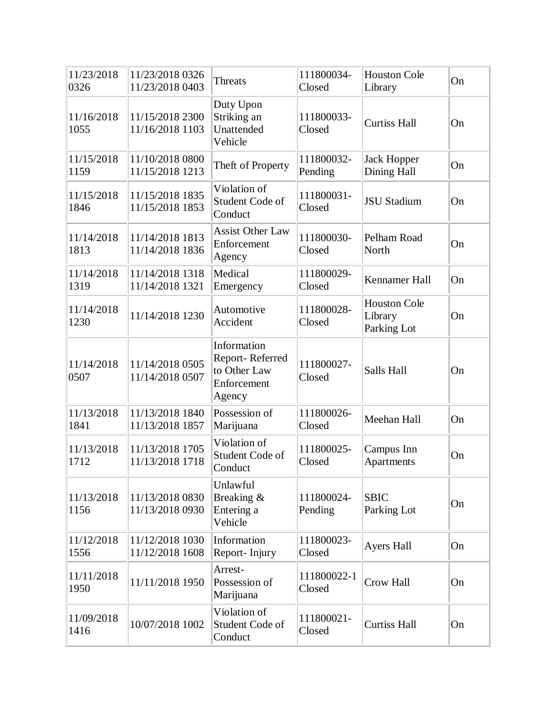| 11/23/2018<br>0326 | 11/23/2018 0326<br>11/23/2018 0403 | Threats                                                                 | 111800034-<br>Closed  | <b>Houston Cole</b><br>Library                | On |
|--------------------|------------------------------------|-------------------------------------------------------------------------|-----------------------|-----------------------------------------------|----|
| 11/16/2018<br>1055 | 11/15/2018 2300<br>11/16/2018 1103 | Duty Upon<br>Striking an<br>Unattended<br>Vehicle                       | 111800033-<br>Closed  | <b>Curtiss Hall</b>                           | On |
| 11/15/2018<br>1159 | 11/10/2018 0800<br>11/15/2018 1213 | Theft of Property                                                       | 111800032-<br>Pending | <b>Jack Hopper</b><br>Dining Hall             | On |
| 11/15/2018<br>1846 | 11/15/2018 1835<br>11/15/2018 1853 | Violation of<br>Student Code of<br>Conduct                              | 111800031-<br>Closed  | <b>JSU Stadium</b>                            | On |
| 11/14/2018<br>1813 | 11/14/2018 1813<br>11/14/2018 1836 | <b>Assist Other Law</b><br>Enforcement<br>Agency                        | 111800030-<br>Closed  | Pelham Road<br>North                          | On |
| 11/14/2018<br>1319 | 11/14/2018 1318<br>11/14/2018 1321 | Medical<br>Emergency                                                    | 111800029-<br>Closed  | Kennamer Hall                                 | On |
| 11/14/2018<br>1230 | 11/14/2018 1230                    | Automotive<br>Accident                                                  | 111800028-<br>Closed  | <b>Houston Cole</b><br>Library<br>Parking Lot | On |
| 11/14/2018<br>0507 | 11/14/2018 0505<br>11/14/2018 0507 | Information<br>Report-Referred<br>to Other Law<br>Enforcement<br>Agency | 111800027-<br>Closed  | Salls Hall                                    | On |
| 11/13/2018<br>1841 | 11/13/2018 1840<br>11/13/2018 1857 | Possession of<br>Marijuana                                              | 111800026-<br>Closed  | Meehan Hall                                   | On |
| 11/13/2018<br>1712 | 11/13/2018 1705<br>11/13/2018 1718 | Violation of<br>Student Code of<br>Conduct                              | 111800025-<br>Closed  | Campus Inn<br><b>Apartments</b>               | On |
| 11/13/2018<br>1156 | 11/13/2018 0830<br>11/13/2018 0930 | Unlawful<br>Breaking &<br>Entering a<br>Vehicle                         | 111800024-<br>Pending | <b>SBIC</b><br>Parking Lot                    | On |
| 11/12/2018<br>1556 | 11/12/2018 1030<br>11/12/2018 1608 | Information<br>Report-Injury                                            | 111800023-<br>Closed  | <b>Ayers Hall</b>                             | On |
| 11/11/2018<br>1950 | 11/11/2018 1950                    | Arrest-<br>Possession of<br>Marijuana                                   | 111800022-1<br>Closed | Crow Hall                                     | On |
| 11/09/2018<br>1416 | 10/07/2018 1002                    | Violation of<br>Student Code of<br>Conduct                              | 111800021-<br>Closed  | <b>Curtiss Hall</b>                           | On |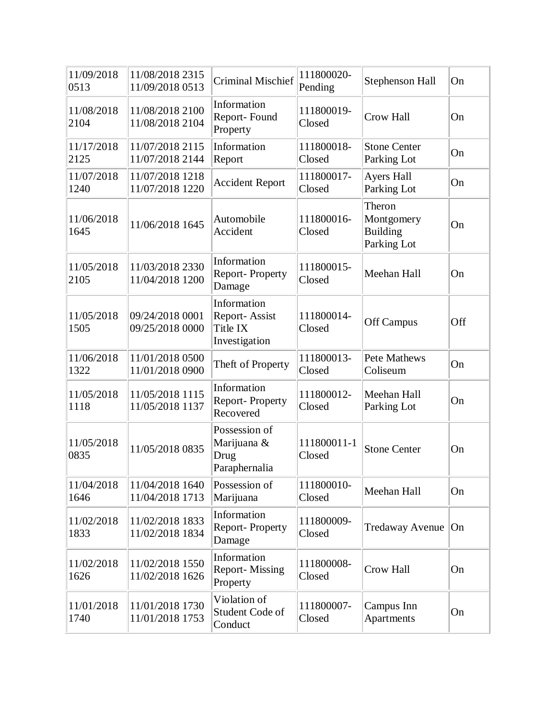| 11/09/2018<br>0513 | 11/08/2018 2315<br>11/09/2018 0513 | <b>Criminal Mischief</b>                                  | 111800020-<br>Pending | Stephenson Hall                                        | On  |
|--------------------|------------------------------------|-----------------------------------------------------------|-----------------------|--------------------------------------------------------|-----|
| 11/08/2018<br>2104 | 11/08/2018 2100<br>11/08/2018 2104 | Information<br>Report-Found<br>Property                   | 111800019-<br>Closed  | <b>Crow Hall</b>                                       | On  |
| 11/17/2018<br>2125 | 11/07/2018 2115<br>11/07/2018 2144 | Information<br>Report                                     | 111800018-<br>Closed  | <b>Stone Center</b><br>Parking Lot                     | On  |
| 11/07/2018<br>1240 | 11/07/2018 1218<br>11/07/2018 1220 | <b>Accident Report</b>                                    | 111800017-<br>Closed  | Ayers Hall<br>Parking Lot                              | On  |
| 11/06/2018<br>1645 | 11/06/2018 1645                    | Automobile<br>Accident                                    | 111800016-<br>Closed  | Theron<br>Montgomery<br><b>Building</b><br>Parking Lot | On  |
| 11/05/2018<br>2105 | 11/03/2018 2330<br>11/04/2018 1200 | Information<br>Report-Property<br>Damage                  | 111800015-<br>Closed  | Meehan Hall                                            | On  |
| 11/05/2018<br>1505 | 09/24/2018 0001<br>09/25/2018 0000 | Information<br>Report-Assist<br>Title IX<br>Investigation | 111800014-<br>Closed  | Off Campus                                             | Off |
| 11/06/2018<br>1322 | 11/01/2018 0500<br>11/01/2018 0900 | Theft of Property                                         | 111800013-<br>Closed  | <b>Pete Mathews</b><br>Coliseum                        | On  |
| 11/05/2018<br>1118 | 11/05/2018 1115<br>11/05/2018 1137 | Information<br>Report-Property<br>Recovered               | 111800012-<br>Closed  | Meehan Hall<br>Parking Lot                             | On  |
| 11/05/2018<br>0835 | 11/05/2018 0835                    | Possession of<br>Marijuana &<br>Drug<br>Paraphernalia     | 111800011-1<br>Closed | <b>Stone Center</b>                                    | On  |
| 11/04/2018<br>1646 | 11/04/2018 1640<br>11/04/2018 1713 | Possession of<br>Marijuana                                | 111800010-<br>Closed  | Meehan Hall                                            | On  |
| 11/02/2018<br>1833 | 11/02/2018 1833<br>11/02/2018 1834 | Information<br><b>Report-Property</b><br>Damage           | 111800009-<br>Closed  | <b>Tredaway Avenue</b>                                 | On  |
| 11/02/2018<br>1626 | 11/02/2018 1550<br>11/02/2018 1626 | Information<br><b>Report-Missing</b><br>Property          | 111800008-<br>Closed  | Crow Hall                                              | On  |
| 11/01/2018<br>1740 | 11/01/2018 1730<br>11/01/2018 1753 | Violation of<br>Student Code of<br>Conduct                | 111800007-<br>Closed  | Campus Inn<br>Apartments                               | On  |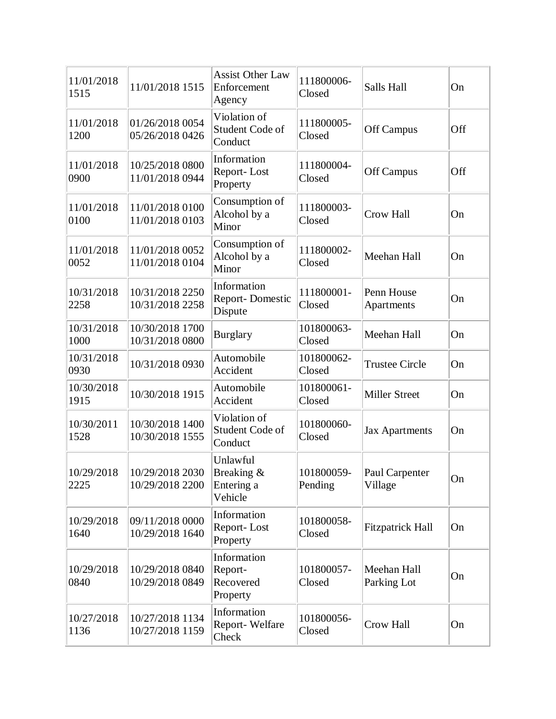| 11/01/2018<br>1515 | 11/01/2018 1515                    | <b>Assist Other Law</b><br>Enforcement<br>Agency | 111800006-<br>Closed  | Salls Hall                 | On  |
|--------------------|------------------------------------|--------------------------------------------------|-----------------------|----------------------------|-----|
| 11/01/2018<br>1200 | 01/26/2018 0054<br>05/26/2018 0426 | Violation of<br>Student Code of<br>Conduct       | 111800005-<br>Closed  | Off Campus                 | Off |
| 11/01/2018<br>0900 | 10/25/2018 0800<br>11/01/2018 0944 | Information<br>Report-Lost<br>Property           | 111800004-<br>Closed  | Off Campus                 | Off |
| 11/01/2018<br>0100 | 11/01/2018 0100<br>11/01/2018 0103 | Consumption of<br>Alcohol by a<br>Minor          | 111800003-<br>Closed  | Crow Hall                  | On  |
| 11/01/2018<br>0052 | 11/01/2018 0052<br>11/01/2018 0104 | Consumption of<br>Alcohol by a<br>Minor          | 111800002-<br>Closed  | Meehan Hall                | On  |
| 10/31/2018<br>2258 | 10/31/2018 2250<br>10/31/2018 2258 | Information<br><b>Report-Domestic</b><br>Dispute | 111800001-<br>Closed  | Penn House<br>Apartments   | On  |
| 10/31/2018<br>1000 | 10/30/2018 1700<br>10/31/2018 0800 | <b>Burglary</b>                                  | 101800063-<br>Closed  | Meehan Hall                | On  |
| 10/31/2018<br>0930 | 10/31/2018 0930                    | Automobile<br>Accident                           | 101800062-<br>Closed  | <b>Trustee Circle</b>      | On  |
| 10/30/2018<br>1915 | 10/30/2018 1915                    | Automobile<br>Accident                           | 101800061-<br>Closed  | <b>Miller Street</b>       | On  |
| 10/30/2011<br>1528 | 10/30/2018 1400<br>10/30/2018 1555 | Violation of<br>Student Code of<br>Conduct       | 101800060-<br>Closed  | <b>Jax Apartments</b>      | On  |
| 10/29/2018<br>2225 | 10/29/2018 2030<br>10/29/2018 2200 | Unlawful<br>Breaking &<br>Entering a<br>Vehicle  | 101800059-<br>Pending | Paul Carpenter<br>Village  | On  |
| 10/29/2018<br>1640 | 09/11/2018 0000<br>10/29/2018 1640 | Information<br>Report-Lost<br>Property           | 101800058-<br>Closed  | <b>Fitzpatrick Hall</b>    | On  |
| 10/29/2018<br>0840 | 10/29/2018 0840<br>10/29/2018 0849 | Information<br>Report-<br>Recovered<br>Property  | 101800057-<br>Closed  | Meehan Hall<br>Parking Lot | On  |
| 10/27/2018<br>1136 | 10/27/2018 1134<br>10/27/2018 1159 | Information<br>Report-Welfare<br>Check           | 101800056-<br>Closed  | Crow Hall                  | On  |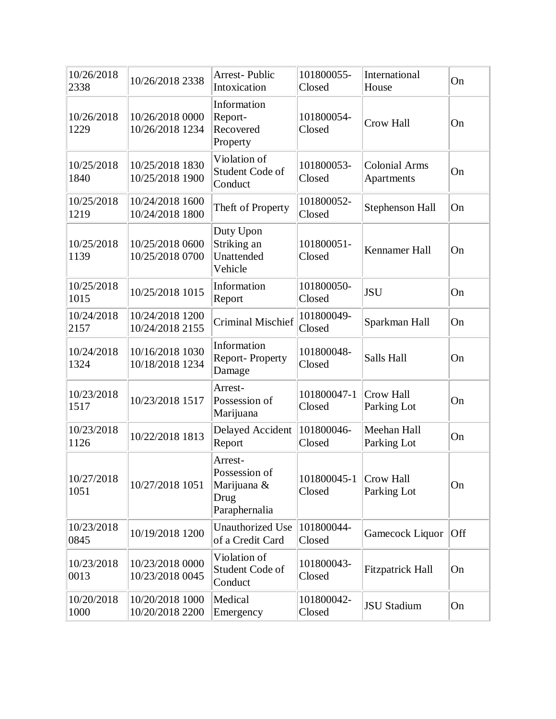| 10/26/2018<br>2338 | 10/26/2018 2338                    | <b>Arrest-Public</b><br>Intoxication                             | 101800055-<br>Closed  | International<br>House             | On  |
|--------------------|------------------------------------|------------------------------------------------------------------|-----------------------|------------------------------------|-----|
| 10/26/2018<br>1229 | 10/26/2018 0000<br>10/26/2018 1234 | Information<br>Report-<br>Recovered<br>Property                  | 101800054-<br>Closed  | <b>Crow Hall</b>                   | On  |
| 10/25/2018<br>1840 | 10/25/2018 1830<br>10/25/2018 1900 | Violation of<br>Student Code of<br>Conduct                       | 101800053-<br>Closed  | <b>Colonial Arms</b><br>Apartments | On  |
| 10/25/2018<br>1219 | 10/24/2018 1600<br>10/24/2018 1800 | Theft of Property                                                | 101800052-<br>Closed  | Stephenson Hall                    | On  |
| 10/25/2018<br>1139 | 10/25/2018 0600<br>10/25/2018 0700 | Duty Upon<br>Striking an<br>Unattended<br>Vehicle                | 101800051-<br>Closed  | Kennamer Hall                      | On  |
| 10/25/2018<br>1015 | 10/25/2018 1015                    | Information<br>Report                                            | 101800050-<br>Closed  | <b>JSU</b>                         | On  |
| 10/24/2018<br>2157 | 10/24/2018 1200<br>10/24/2018 2155 | <b>Criminal Mischief</b>                                         | 101800049-<br>Closed  | Sparkman Hall                      | On  |
| 10/24/2018<br>1324 | 10/16/2018 1030<br>10/18/2018 1234 | Information<br><b>Report-Property</b><br>Damage                  | 101800048-<br>Closed  | Salls Hall                         | On  |
| 10/23/2018<br>1517 | 10/23/2018 1517                    | Arrest-<br>Possession of<br>Marijuana                            | 101800047-1<br>Closed | Crow Hall<br>Parking Lot           | On  |
| 10/23/2018<br>1126 | 10/22/2018 1813                    | Delayed Accident<br>Report                                       | 101800046-<br>Closed  | Meehan Hall<br>Parking Lot         | On  |
| 10/27/2018<br>1051 | 10/27/2018 1051                    | Arrest-<br>Possession of<br>Marijuana &<br>Drug<br>Paraphernalia | 101800045-1<br>Closed | Crow Hall<br>Parking Lot           | On  |
| 10/23/2018<br>0845 | 10/19/2018 1200                    | <b>Unauthorized Use</b><br>of a Credit Card                      | 101800044-<br>Closed  | Gamecock Liquor                    | Off |
| 10/23/2018<br>0013 | 10/23/2018 0000<br>10/23/2018 0045 | Violation of<br>Student Code of<br>Conduct                       | 101800043-<br>Closed  | <b>Fitzpatrick Hall</b>            | On  |
| 10/20/2018<br>1000 | 10/20/2018 1000<br>10/20/2018 2200 | Medical<br>Emergency                                             | 101800042-<br>Closed  | <b>JSU Stadium</b>                 | On  |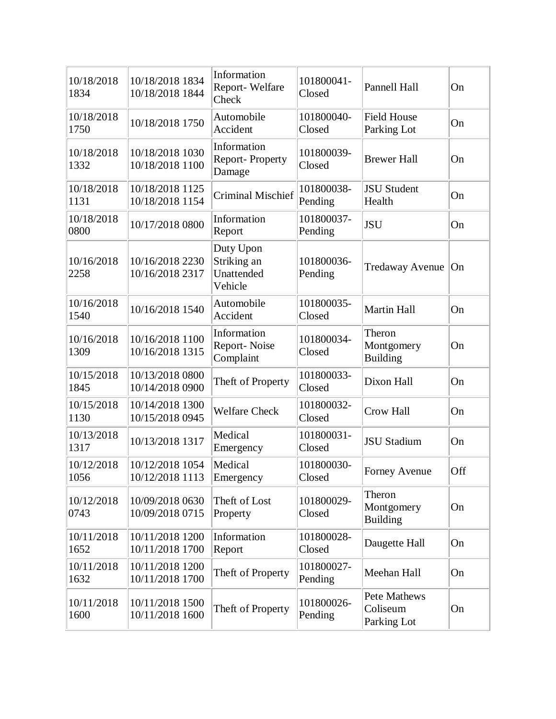| 10/18/2018<br>1834 | 10/18/2018 1834<br>10/18/2018 1844 | Information<br>Report-Welfare<br>Check            | 101800041-<br>Closed  | Pannell Hall                            | On  |
|--------------------|------------------------------------|---------------------------------------------------|-----------------------|-----------------------------------------|-----|
| 10/18/2018<br>1750 | 10/18/2018 1750                    | Automobile<br>Accident                            | 101800040-<br>Closed  | <b>Field House</b><br>Parking Lot       | On  |
| 10/18/2018<br>1332 | 10/18/2018 1030<br>10/18/2018 1100 | Information<br>Report-Property<br>Damage          | 101800039-<br>Closed  | <b>Brewer Hall</b>                      | On  |
| 10/18/2018<br>1131 | 10/18/2018 1125<br>10/18/2018 1154 | <b>Criminal Mischief</b>                          | 101800038-<br>Pending | <b>JSU Student</b><br>Health            | On  |
| 10/18/2018<br>0800 | 10/17/2018 0800                    | Information<br>Report                             | 101800037-<br>Pending | <b>JSU</b>                              | On  |
| 10/16/2018<br>2258 | 10/16/2018 2230<br>10/16/2018 2317 | Duty Upon<br>Striking an<br>Unattended<br>Vehicle | 101800036-<br>Pending | <b>Tredaway Avenue</b>                  | On  |
| 10/16/2018<br>1540 | 10/16/2018 1540                    | Automobile<br>Accident                            | 101800035-<br>Closed  | <b>Martin Hall</b>                      | On  |
| 10/16/2018<br>1309 | 10/16/2018 1100<br>10/16/2018 1315 | Information<br>Report-Noise<br>Complaint          | 101800034-<br>Closed  | Theron<br>Montgomery<br><b>Building</b> | On  |
| 10/15/2018<br>1845 | 10/13/2018 0800<br>10/14/2018 0900 | Theft of Property                                 | 101800033-<br>Closed  | Dixon Hall                              | On  |
| 10/15/2018<br>1130 | 10/14/2018 1300<br>10/15/2018 0945 | <b>Welfare Check</b>                              | 101800032-<br>Closed  | <b>Crow Hall</b>                        | On  |
| 10/13/2018<br>1317 | 10/13/2018 1317                    | Medical<br>Emergency                              | 101800031-<br>Closed  | <b>JSU Stadium</b>                      | On  |
| 10/12/2018<br>1056 | 10/12/2018 1054<br>10/12/2018 1113 | Medical<br>Emergency                              | 101800030-<br>Closed  | <b>Forney Avenue</b>                    | Off |
| 10/12/2018<br>0743 | 10/09/2018 0630<br>10/09/2018 0715 | Theft of Lost<br>Property                         | 101800029-<br>Closed  | Theron<br>Montgomery<br><b>Building</b> | On  |
| 10/11/2018<br>1652 | 10/11/2018 1200<br>10/11/2018 1700 | Information<br>Report                             | 101800028-<br>Closed  | Daugette Hall                           | On  |
| 10/11/2018<br>1632 | 10/11/2018 1200<br>10/11/2018 1700 | Theft of Property                                 | 101800027-<br>Pending | Meehan Hall                             | On  |
| 10/11/2018<br>1600 | 10/11/2018 1500<br>10/11/2018 1600 | Theft of Property                                 | 101800026-<br>Pending | Pete Mathews<br>Coliseum<br>Parking Lot | On  |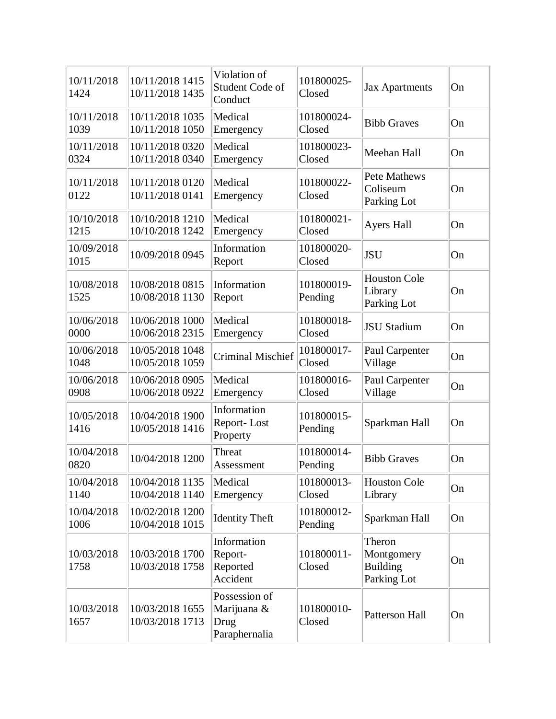|                    |                                    | Violation of                                          |                       |                                                        |    |
|--------------------|------------------------------------|-------------------------------------------------------|-----------------------|--------------------------------------------------------|----|
| 10/11/2018<br>1424 | 10/11/2018 1415<br>10/11/2018 1435 | Student Code of<br>Conduct                            | 101800025-<br>Closed  | <b>Jax Apartments</b>                                  | On |
| 10/11/2018<br>1039 | 10/11/2018 1035<br>10/11/2018 1050 | Medical<br>Emergency                                  | 101800024-<br>Closed  | <b>Bibb Graves</b>                                     | On |
| 10/11/2018<br>0324 | 10/11/2018 0320<br>10/11/2018 0340 | Medical<br>Emergency                                  | 101800023-<br>Closed  | Meehan Hall                                            | On |
| 10/11/2018<br>0122 | 10/11/2018 0120<br>10/11/2018 0141 | Medical<br>Emergency                                  | 101800022-<br>Closed  | Pete Mathews<br>Coliseum<br>Parking Lot                | On |
| 10/10/2018<br>1215 | 10/10/2018 1210<br>10/10/2018 1242 | Medical<br>Emergency                                  | 101800021-<br>Closed  | <b>Ayers Hall</b>                                      | On |
| 10/09/2018<br>1015 | 10/09/2018 0945                    | Information<br>Report                                 | 101800020-<br>Closed  | <b>JSU</b>                                             | On |
| 10/08/2018<br>1525 | 10/08/2018 0815<br>10/08/2018 1130 | Information<br>Report                                 | 101800019-<br>Pending | <b>Houston Cole</b><br>Library<br>Parking Lot          | On |
| 10/06/2018<br>0000 | 10/06/2018 1000<br>10/06/2018 2315 | Medical<br>Emergency                                  | 101800018-<br>Closed  | <b>JSU Stadium</b>                                     | On |
| 10/06/2018<br>1048 | 10/05/2018 1048<br>10/05/2018 1059 | <b>Criminal Mischief</b>                              | 101800017-<br>Closed  | Paul Carpenter<br>Village                              | On |
| 10/06/2018<br>0908 | 10/06/2018 0905<br>10/06/2018 0922 | Medical<br>Emergency                                  | 101800016-<br>Closed  | Paul Carpenter<br>Village                              | On |
| 10/05/2018<br>1416 | 10/04/2018 1900<br>10/05/2018 1416 | Information<br>Report-Lost<br>Property                | 101800015-<br>Pending | Sparkman Hall                                          | On |
| 10/04/2018<br>0820 | 10/04/2018 1200                    | Threat<br>Assessment                                  | 101800014-<br>Pending | <b>Bibb Graves</b>                                     | On |
| 10/04/2018<br>1140 | 10/04/2018 1135<br>10/04/2018 1140 | Medical<br>Emergency                                  | 101800013-<br>Closed  | <b>Houston Cole</b><br>Library                         | On |
| 10/04/2018<br>1006 | 10/02/2018 1200<br>10/04/2018 1015 | <b>Identity Theft</b>                                 | 101800012-<br>Pending | Sparkman Hall                                          | On |
| 10/03/2018<br>1758 | 10/03/2018 1700<br>10/03/2018 1758 | Information<br>Report-<br>Reported<br>Accident        | 101800011-<br>Closed  | Theron<br>Montgomery<br><b>Building</b><br>Parking Lot | On |
| 10/03/2018<br>1657 | 10/03/2018 1655<br>10/03/2018 1713 | Possession of<br>Marijuana &<br>Drug<br>Paraphernalia | 101800010-<br>Closed  | <b>Patterson Hall</b>                                  | On |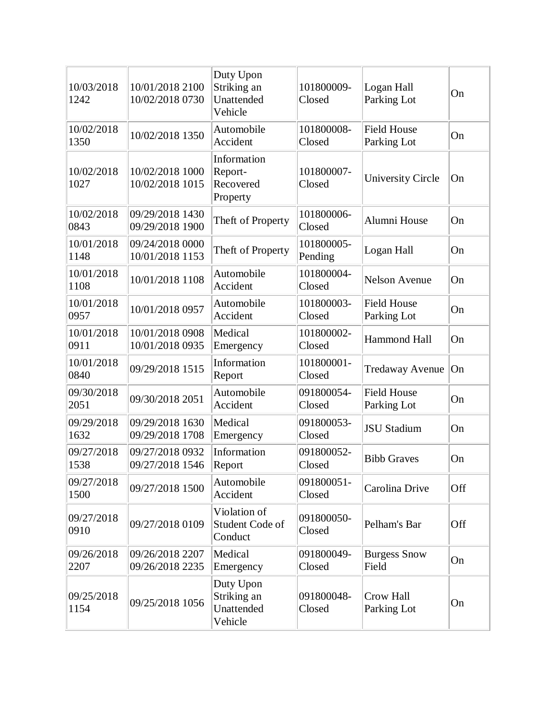| 10/03/2018<br>1242 | 10/01/2018 2100<br>10/02/2018 0730 | Duty Upon<br>Striking an<br>Unattended<br>Vehicle | 101800009-<br>Closed  | Logan Hall<br>Parking Lot         | On  |
|--------------------|------------------------------------|---------------------------------------------------|-----------------------|-----------------------------------|-----|
| 10/02/2018<br>1350 | 10/02/2018 1350                    | Automobile<br>Accident                            | 101800008-<br>Closed  | <b>Field House</b><br>Parking Lot | On  |
| 10/02/2018<br>1027 | 10/02/2018 1000<br>10/02/2018 1015 | Information<br>Report-<br>Recovered<br>Property   | 101800007-<br>Closed  | <b>University Circle</b>          | On  |
| 10/02/2018<br>0843 | 09/29/2018 1430<br>09/29/2018 1900 | Theft of Property                                 | 101800006-<br>Closed  | Alumni House                      | On  |
| 10/01/2018<br>1148 | 09/24/2018 0000<br>10/01/2018 1153 | Theft of Property                                 | 101800005-<br>Pending | Logan Hall                        | On  |
| 10/01/2018<br>1108 | 10/01/2018 1108                    | Automobile<br>Accident                            | 101800004-<br>Closed  | <b>Nelson Avenue</b>              | On  |
| 10/01/2018<br>0957 | 10/01/2018 0957                    | Automobile<br>Accident                            | 101800003-<br>Closed  | <b>Field House</b><br>Parking Lot | On  |
| 10/01/2018<br>0911 | 10/01/2018 0908<br>10/01/2018 0935 | Medical<br>Emergency                              | 101800002-<br>Closed  | <b>Hammond Hall</b>               | On  |
| 10/01/2018<br>0840 | 09/29/2018 1515                    | Information<br>Report                             | 101800001-<br>Closed  | <b>Tredaway Avenue</b>            | On  |
| 09/30/2018<br>2051 | 09/30/2018 2051                    | Automobile<br>Accident                            | 091800054-<br>Closed  | <b>Field House</b><br>Parking Lot | On  |
| 09/29/2018<br>1632 | 09/29/2018 1630<br>09/29/2018 1708 | Medical<br>Emergency                              | 091800053-<br>Closed  | <b>JSU Stadium</b>                | On  |
| 09/27/2018<br>1538 | 09/27/2018 0932<br>09/27/2018 1546 | Information<br>Report                             | 091800052-<br>Closed  | <b>Bibb Graves</b>                | On  |
| 09/27/2018<br>1500 | 09/27/2018 1500                    | Automobile<br>Accident                            | 091800051-<br>Closed  | Carolina Drive                    | Off |
| 09/27/2018<br>0910 | 09/27/2018 0109                    | Violation of<br>Student Code of<br>Conduct        | 091800050-<br>Closed  | Pelham's Bar                      | Off |
| 09/26/2018<br>2207 | 09/26/2018 2207<br>09/26/2018 2235 | Medical<br>Emergency                              | 091800049-<br>Closed  | <b>Burgess Snow</b><br>Field      | On  |
| 09/25/2018<br>1154 | 09/25/2018 1056                    | Duty Upon<br>Striking an<br>Unattended<br>Vehicle | 091800048-<br>Closed  | Crow Hall<br>Parking Lot          | On  |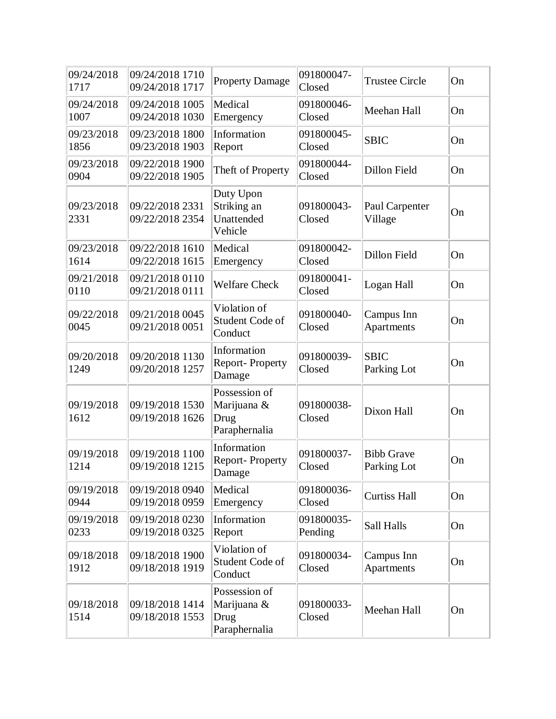| 09/24/2018<br>1717 | 09/24/2018 1710<br>09/24/2018 1717 | <b>Property Damage</b>                                | 091800047-<br>Closed  | <b>Trustee Circle</b>            | On |
|--------------------|------------------------------------|-------------------------------------------------------|-----------------------|----------------------------------|----|
| 09/24/2018<br>1007 | 09/24/2018 1005<br>09/24/2018 1030 | Medical<br>Emergency                                  | 091800046-<br>Closed  | Meehan Hall                      | On |
| 09/23/2018<br>1856 | 09/23/2018 1800<br>09/23/2018 1903 | Information<br>Report                                 | 091800045-<br>Closed  | <b>SBIC</b>                      | On |
| 09/23/2018<br>0904 | 09/22/2018 1900<br>09/22/2018 1905 | Theft of Property                                     | 091800044-<br>Closed  | Dillon Field                     | On |
| 09/23/2018<br>2331 | 09/22/2018 2331<br>09/22/2018 2354 | Duty Upon<br>Striking an<br>Unattended<br>Vehicle     | 091800043-<br>Closed  | Paul Carpenter<br>Village        | On |
| 09/23/2018<br>1614 | 09/22/2018 1610<br>09/22/2018 1615 | Medical<br>Emergency                                  | 091800042-<br>Closed  | <b>Dillon Field</b>              | On |
| 09/21/2018<br>0110 | 09/21/2018 0110<br>09/21/2018 0111 | <b>Welfare Check</b>                                  | 091800041-<br>Closed  | Logan Hall                       | On |
| 09/22/2018<br>0045 | 09/21/2018 0045<br>09/21/2018 0051 | Violation of<br>Student Code of<br>Conduct            | 091800040-<br>Closed  | Campus Inn<br>Apartments         | On |
| 09/20/2018<br>1249 | 09/20/2018 1130<br>09/20/2018 1257 | Information<br><b>Report-Property</b><br>Damage       | 091800039-<br>Closed  | <b>SBIC</b><br>Parking Lot       | On |
| 09/19/2018<br>1612 | 09/19/2018 1530<br>09/19/2018 1626 | Possession of<br>Marijuana &<br>Drug<br>Paraphernalia | 091800038-<br>Closed  | Dixon Hall                       | On |
| 09/19/2018<br>1214 | 09/19/2018 1100<br>09/19/2018 1215 | Information<br>Report-Property<br>Damage              | 091800037-<br>Closed  | <b>Bibb Grave</b><br>Parking Lot | On |
| 09/19/2018<br>0944 | 09/19/2018 0940<br>09/19/2018 0959 | Medical<br>Emergency                                  | 091800036-<br>Closed  | <b>Curtiss Hall</b>              | On |
| 09/19/2018<br>0233 | 09/19/2018 0230<br>09/19/2018 0325 | Information<br>Report                                 | 091800035-<br>Pending | Sall Halls                       | On |
| 09/18/2018<br>1912 | 09/18/2018 1900<br>09/18/2018 1919 | Violation of<br>Student Code of<br>Conduct            | 091800034-<br>Closed  | Campus Inn<br>Apartments         | On |
| 09/18/2018<br>1514 | 09/18/2018 1414<br>09/18/2018 1553 | Possession of<br>Marijuana &<br>Drug<br>Paraphernalia | 091800033-<br>Closed  | Meehan Hall                      | On |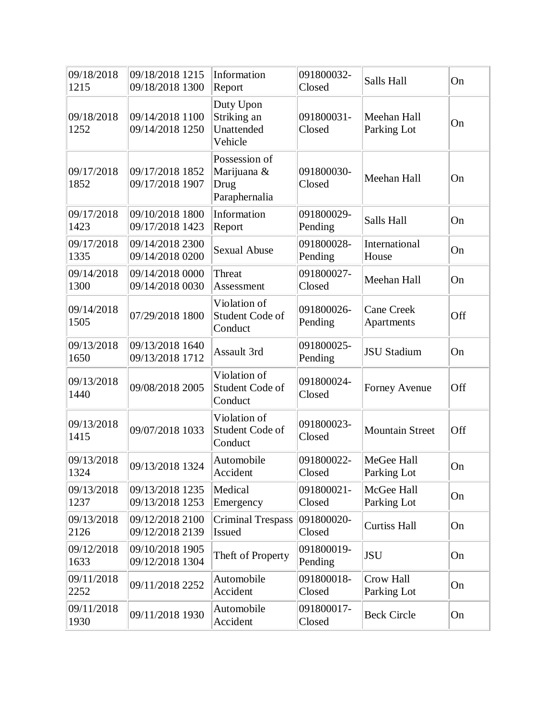| 09/18/2018<br>1215 | 09/18/2018 1215<br>09/18/2018 1300 | Information<br>Report                                 | 091800032-<br>Closed  | Salls Hall                      | On  |
|--------------------|------------------------------------|-------------------------------------------------------|-----------------------|---------------------------------|-----|
| 09/18/2018<br>1252 | 09/14/2018 1100<br>09/14/2018 1250 | Duty Upon<br>Striking an<br>Unattended<br>Vehicle     | 091800031-<br>Closed  | Meehan Hall<br>Parking Lot      | On  |
| 09/17/2018<br>1852 | 09/17/2018 1852<br>09/17/2018 1907 | Possession of<br>Marijuana &<br>Drug<br>Paraphernalia | 091800030-<br>Closed  | Meehan Hall                     | On  |
| 09/17/2018<br>1423 | 09/10/2018 1800<br>09/17/2018 1423 | Information<br>Report                                 | 091800029-<br>Pending | Salls Hall                      | On  |
| 09/17/2018<br>1335 | 09/14/2018 2300<br>09/14/2018 0200 | <b>Sexual Abuse</b>                                   | 091800028-<br>Pending | International<br>House          | On  |
| 09/14/2018<br>1300 | 09/14/2018 0000<br>09/14/2018 0030 | Threat<br>Assessment                                  | 091800027-<br>Closed  | Meehan Hall                     | On  |
| 09/14/2018<br>1505 | 07/29/2018 1800                    | Violation of<br>Student Code of<br>Conduct            | 091800026-<br>Pending | <b>Cane Creek</b><br>Apartments | Off |
| 09/13/2018<br>1650 | 09/13/2018 1640<br>09/13/2018 1712 | Assault 3rd                                           | 091800025-<br>Pending | <b>JSU</b> Stadium              | On  |
| 09/13/2018<br>1440 | 09/08/2018 2005                    | Violation of<br>Student Code of<br>Conduct            | 091800024-<br>Closed  | <b>Forney Avenue</b>            | Off |
| 09/13/2018<br>1415 | 09/07/2018 1033                    | Violation of<br>Student Code of<br>Conduct            | 091800023-<br>Closed  | <b>Mountain Street</b>          | Off |
| 09/13/2018<br>1324 | 09/13/2018 1324                    | Automobile<br>Accident                                | 091800022-<br>Closed  | MeGee Hall<br>Parking Lot       | On  |
| 09/13/2018<br>1237 | 09/13/2018 1235<br>09/13/2018 1253 | Medical<br>Emergency                                  | 091800021-<br>Closed  | McGee Hall<br>Parking Lot       | On  |
| 09/13/2018<br>2126 | 09/12/2018 2100<br>09/12/2018 2139 | <b>Criminal Trespass</b><br>Issued                    | 091800020-<br>Closed  | <b>Curtiss Hall</b>             | On  |
| 09/12/2018<br>1633 | 09/10/2018 1905<br>09/12/2018 1304 | Theft of Property                                     | 091800019-<br>Pending | <b>JSU</b>                      | On  |
| 09/11/2018<br>2252 | 09/11/2018 2252                    | Automobile<br>Accident                                | 091800018-<br>Closed  | Crow Hall<br>Parking Lot        | On  |
| 09/11/2018<br>1930 | 09/11/2018 1930                    | Automobile<br>Accident                                | 091800017-<br>Closed  | <b>Beck Circle</b>              | On  |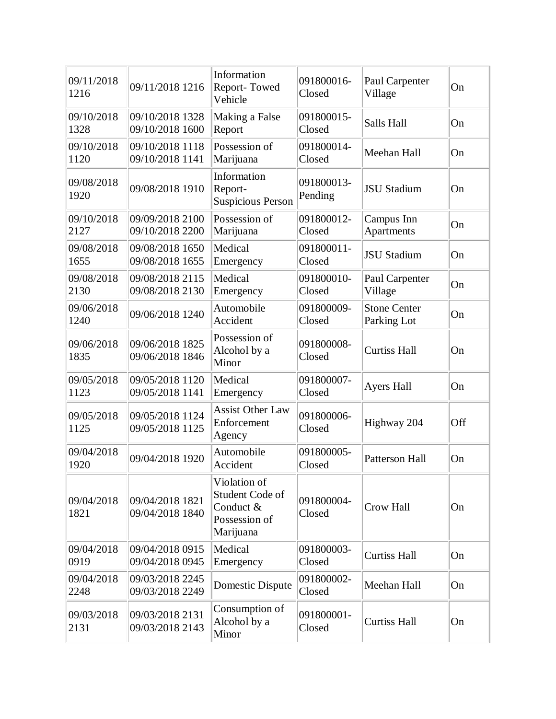| 09/11/2018<br>1216 | 09/11/2018 1216                    | Information<br>Report-Towed<br>Vehicle                                     | 091800016-<br>Closed  | Paul Carpenter<br>Village          | On  |
|--------------------|------------------------------------|----------------------------------------------------------------------------|-----------------------|------------------------------------|-----|
| 09/10/2018<br>1328 | 09/10/2018 1328<br>09/10/2018 1600 | Making a False<br>Report                                                   | 091800015-<br>Closed  | Salls Hall                         | On  |
| 09/10/2018<br>1120 | 09/10/2018 1118<br>09/10/2018 1141 | Possession of<br>Marijuana                                                 | 091800014-<br>Closed  | Meehan Hall                        | On  |
| 09/08/2018<br>1920 | 09/08/2018 1910                    | Information<br>Report-<br>Suspicious Person                                | 091800013-<br>Pending | <b>JSU Stadium</b>                 | On  |
| 09/10/2018<br>2127 | 09/09/2018 2100<br>09/10/2018 2200 | Possession of<br>Marijuana                                                 | 091800012-<br>Closed  | Campus Inn<br>Apartments           | On  |
| 09/08/2018<br>1655 | 09/08/2018 1650<br>09/08/2018 1655 | Medical<br>Emergency                                                       | 091800011-<br>Closed  | <b>JSU Stadium</b>                 | On  |
| 09/08/2018<br>2130 | 09/08/2018 2115<br>09/08/2018 2130 | Medical<br>Emergency                                                       | 091800010-<br>Closed  | Paul Carpenter<br>Village          | On  |
| 09/06/2018<br>1240 | 09/06/2018 1240                    | Automobile<br>Accident                                                     | 091800009-<br>Closed  | <b>Stone Center</b><br>Parking Lot | On  |
| 09/06/2018<br>1835 | 09/06/2018 1825<br>09/06/2018 1846 | Possession of<br>Alcohol by a<br>Minor                                     | 091800008-<br>Closed  | <b>Curtiss Hall</b>                | On  |
| 09/05/2018<br>1123 | 09/05/2018 1120<br>09/05/2018 1141 | Medical<br>Emergency                                                       | 091800007-<br>Closed  | <b>Ayers Hall</b>                  | On  |
| 09/05/2018<br>1125 | 09/05/2018 1124<br>09/05/2018 1125 | <b>Assist Other Law</b><br>Enforcement<br>Agency                           | 091800006-<br>Closed  | Highway 204                        | Off |
| 09/04/2018<br>1920 | 09/04/2018 1920                    | Automobile<br>Accident                                                     | 091800005-<br>Closed  | <b>Patterson Hall</b>              | On  |
| 09/04/2018<br>1821 | 09/04/2018 1821<br>09/04/2018 1840 | Violation of<br>Student Code of<br>Conduct &<br>Possession of<br>Marijuana | 091800004-<br>Closed  | Crow Hall                          | On  |
| 09/04/2018<br>0919 | 09/04/2018 0915<br>09/04/2018 0945 | Medical<br>Emergency                                                       | 091800003-<br>Closed  | <b>Curtiss Hall</b>                | On  |
| 09/04/2018<br>2248 | 09/03/2018 2245<br>09/03/2018 2249 | Domestic Dispute                                                           | 091800002-<br>Closed  | Meehan Hall                        | On  |
| 09/03/2018<br>2131 | 09/03/2018 2131<br>09/03/2018 2143 | Consumption of<br>Alcohol by a<br>Minor                                    | 091800001-<br>Closed  | <b>Curtiss Hall</b>                | On  |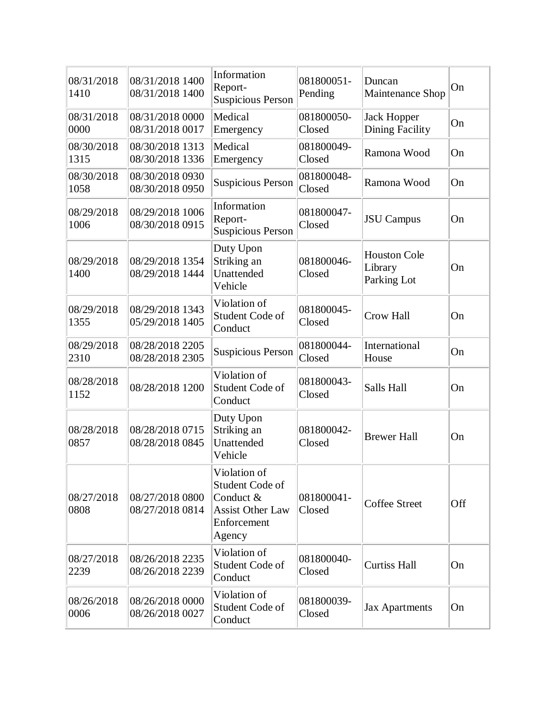| 08/31/2018<br>1410 | 08/31/2018 1400<br>08/31/2018 1400 | Information<br>Report-<br><b>Suspicious Person</b>                                               | 081800051-<br>Pending | Duncan<br>Maintenance Shop                    | On  |
|--------------------|------------------------------------|--------------------------------------------------------------------------------------------------|-----------------------|-----------------------------------------------|-----|
| 08/31/2018<br>0000 | 08/31/2018 0000<br>08/31/2018 0017 | Medical<br>Emergency                                                                             | 081800050-<br>Closed  | <b>Jack Hopper</b><br><b>Dining Facility</b>  | On  |
| 08/30/2018<br>1315 | 08/30/2018 1313<br>08/30/2018 1336 | Medical<br>Emergency                                                                             | 081800049-<br>Closed  | Ramona Wood                                   | On  |
| 08/30/2018<br>1058 | 08/30/2018 0930<br>08/30/2018 0950 | <b>Suspicious Person</b>                                                                         | 081800048-<br>Closed  | Ramona Wood                                   | On  |
| 08/29/2018<br>1006 | 08/29/2018 1006<br>08/30/2018 0915 | Information<br>Report-<br><b>Suspicious Person</b>                                               | 081800047-<br>Closed  | <b>JSU</b> Campus                             | On  |
| 08/29/2018<br>1400 | 08/29/2018 1354<br>08/29/2018 1444 | Duty Upon<br>Striking an<br>Unattended<br>Vehicle                                                | 081800046-<br>Closed  | <b>Houston Cole</b><br>Library<br>Parking Lot | On  |
| 08/29/2018<br>1355 | 08/29/2018 1343<br>05/29/2018 1405 | Violation of<br>Student Code of<br>Conduct                                                       | 081800045-<br>Closed  | <b>Crow Hall</b>                              | On  |
| 08/29/2018<br>2310 | 08/28/2018 2205<br>08/28/2018 2305 | <b>Suspicious Person</b>                                                                         | 081800044-<br>Closed  | International<br>House                        | On  |
| 08/28/2018<br>1152 | 08/28/2018 1200                    | Violation of<br>Student Code of<br>Conduct                                                       | 081800043-<br>Closed  | Salls Hall                                    | On  |
| 08/28/2018<br>0857 | 08/28/2018 0715<br>08/28/2018 0845 | Duty Upon<br>Striking an<br>Unattended<br>Vehicle                                                | 081800042-<br>Closed  | <b>Brewer Hall</b>                            | On  |
| 08/27/2018<br>0808 | 08/27/2018 0800<br>08/27/2018 0814 | Violation of<br>Student Code of<br>Conduct &<br><b>Assist Other Law</b><br>Enforcement<br>Agency | 081800041-<br>Closed  | <b>Coffee Street</b>                          | Off |
| 08/27/2018<br>2239 | 08/26/2018 2235<br>08/26/2018 2239 | Violation of<br>Student Code of<br>Conduct                                                       | 081800040-<br>Closed  | <b>Curtiss Hall</b>                           | On  |
| 08/26/2018<br>0006 | 08/26/2018 0000<br>08/26/2018 0027 | Violation of<br>Student Code of<br>Conduct                                                       | 081800039-<br>Closed  | <b>Jax Apartments</b>                         | On  |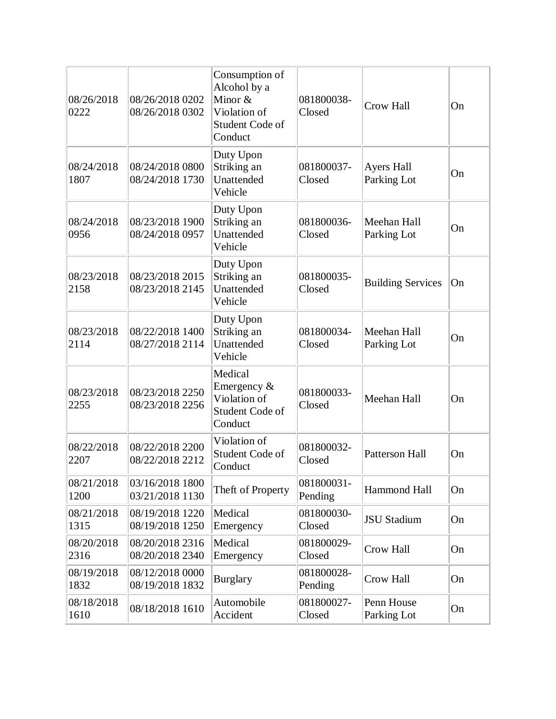| 08/26/2018<br>0222 | 08/26/2018 0202<br>08/26/2018 0302 | Consumption of<br>Alcohol by a<br>Minor $&$<br>Violation of<br>Student Code of<br>Conduct | 081800038-<br>Closed  | <b>Crow Hall</b>                 | On |
|--------------------|------------------------------------|-------------------------------------------------------------------------------------------|-----------------------|----------------------------------|----|
| 08/24/2018<br>1807 | 08/24/2018 0800<br>08/24/2018 1730 | Duty Upon<br>Striking an<br>Unattended<br>Vehicle                                         | 081800037-<br>Closed  | <b>Ayers Hall</b><br>Parking Lot | On |
| 08/24/2018<br>0956 | 08/23/2018 1900<br>08/24/2018 0957 | Duty Upon<br>Striking an<br>Unattended<br>Vehicle                                         | 081800036-<br>Closed  | Meehan Hall<br>Parking Lot       | On |
| 08/23/2018<br>2158 | 08/23/2018 2015<br>08/23/2018 2145 | Duty Upon<br>Striking an<br>Unattended<br>Vehicle                                         | 081800035-<br>Closed  | <b>Building Services</b>         | On |
| 08/23/2018<br>2114 | 08/22/2018 1400<br>08/27/2018 2114 | Duty Upon<br>Striking an<br>Unattended<br>Vehicle                                         | 081800034-<br>Closed  | Meehan Hall<br>Parking Lot       | On |
| 08/23/2018<br>2255 | 08/23/2018 2250<br>08/23/2018 2256 | Medical<br>Emergency &<br>Violation of<br>Student Code of<br>Conduct                      | 081800033-<br>Closed  | Meehan Hall                      | On |
| 08/22/2018<br>2207 | 08/22/2018 2200<br>08/22/2018 2212 | Violation of<br>Student Code of<br>Conduct                                                | 081800032-<br>Closed  | <b>Patterson Hall</b>            | On |
| 08/21/2018<br>1200 | 03/16/2018 1800<br>03/21/2018 1130 | Theft of Property                                                                         | 081800031-<br>Pending | Hammond Hall                     | On |
| 08/21/2018<br>1315 | 08/19/2018 1220<br>08/19/2018 1250 | Medical<br>Emergency                                                                      | 081800030-<br>Closed  | <b>JSU Stadium</b>               | On |
| 08/20/2018<br>2316 | 08/20/2018 2316<br>08/20/2018 2340 | Medical<br>Emergency                                                                      | 081800029-<br>Closed  | Crow Hall                        | On |
| 08/19/2018<br>1832 | 08/12/2018 0000<br>08/19/2018 1832 | <b>Burglary</b>                                                                           | 081800028-<br>Pending | <b>Crow Hall</b>                 | On |
| 08/18/2018<br>1610 | 08/18/2018 1610                    | Automobile<br>Accident                                                                    | 081800027-<br>Closed  | Penn House<br>Parking Lot        | On |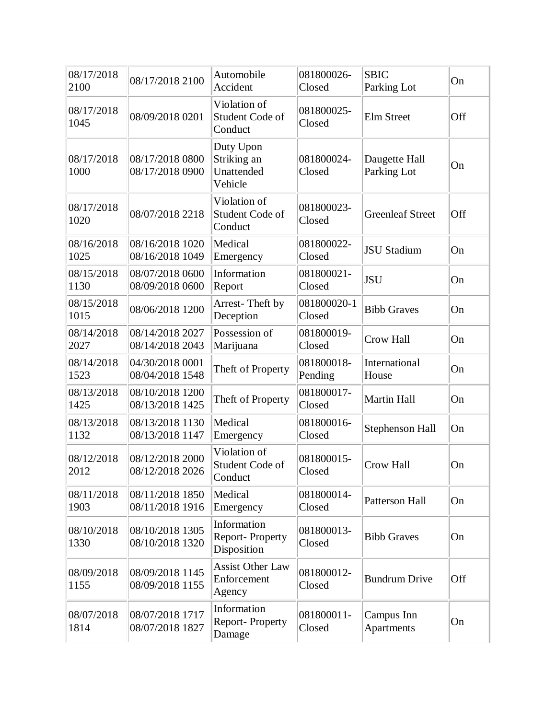| 08/17/2018<br>2100 | 08/17/2018 2100                    | Automobile<br>Accident                            | 081800026-<br>Closed  | <b>SBIC</b><br>Parking Lot   | On  |
|--------------------|------------------------------------|---------------------------------------------------|-----------------------|------------------------------|-----|
| 08/17/2018<br>1045 | 08/09/2018 0201                    | Violation of<br>Student Code of<br>Conduct        | 081800025-<br>Closed  | <b>Elm Street</b>            | Off |
| 08/17/2018<br>1000 | 08/17/2018 0800<br>08/17/2018 0900 | Duty Upon<br>Striking an<br>Unattended<br>Vehicle | 081800024-<br>Closed  | Daugette Hall<br>Parking Lot | On  |
| 08/17/2018<br>1020 | 08/07/2018 2218                    | Violation of<br>Student Code of<br>Conduct        | 081800023-<br>Closed  | <b>Greenleaf Street</b>      | Off |
| 08/16/2018<br>1025 | 08/16/2018 1020<br>08/16/2018 1049 | Medical<br>Emergency                              | 081800022-<br>Closed  | <b>JSU Stadium</b>           | On  |
| 08/15/2018<br>1130 | 08/07/2018 0600<br>08/09/2018 0600 | Information<br>Report                             | 081800021-<br>Closed  | <b>JSU</b>                   | On  |
| 08/15/2018<br>1015 | 08/06/2018 1200                    | Arrest-Theft by<br>Deception                      | 081800020-1<br>Closed | <b>Bibb Graves</b>           | On  |
| 08/14/2018<br>2027 | 08/14/2018 2027<br>08/14/2018 2043 | Possession of<br>Marijuana                        | 081800019-<br>Closed  | Crow Hall                    | On  |
| 08/14/2018<br>1523 | 04/30/2018 0001<br>08/04/2018 1548 | Theft of Property                                 | 081800018-<br>Pending | International<br>House       | On  |
| 08/13/2018<br>1425 | 08/10/2018 1200<br>08/13/2018 1425 | Theft of Property                                 | 081800017-<br>Closed  | <b>Martin Hall</b>           | On  |
| 08/13/2018<br>1132 | 08/13/2018 1130<br>08/13/2018 1147 | Medical<br>Emergency                              | 081800016-<br>Closed  | <b>Stephenson Hall</b>       | On  |
| 08/12/2018<br>2012 | 08/12/2018 2000<br>08/12/2018 2026 | Violation of<br>Student Code of<br>Conduct        | 081800015-<br>Closed  | Crow Hall                    | On  |
| 08/11/2018<br>1903 | 08/11/2018 1850<br>08/11/2018 1916 | Medical<br>Emergency                              | 081800014-<br>Closed  | Patterson Hall               | On  |
| 08/10/2018<br>1330 | 08/10/2018 1305<br>08/10/2018 1320 | Information<br>Report-Property<br>Disposition     | 081800013-<br>Closed  | <b>Bibb Graves</b>           | On  |
| 08/09/2018<br>1155 | 08/09/2018 1145<br>08/09/2018 1155 | <b>Assist Other Law</b><br>Enforcement<br>Agency  | 081800012-<br>Closed  | <b>Bundrum Drive</b>         | Off |
| 08/07/2018<br>1814 | 08/07/2018 1717<br>08/07/2018 1827 | Information<br>Report-Property<br>Damage          | 081800011-<br>Closed  | Campus Inn<br>Apartments     | On  |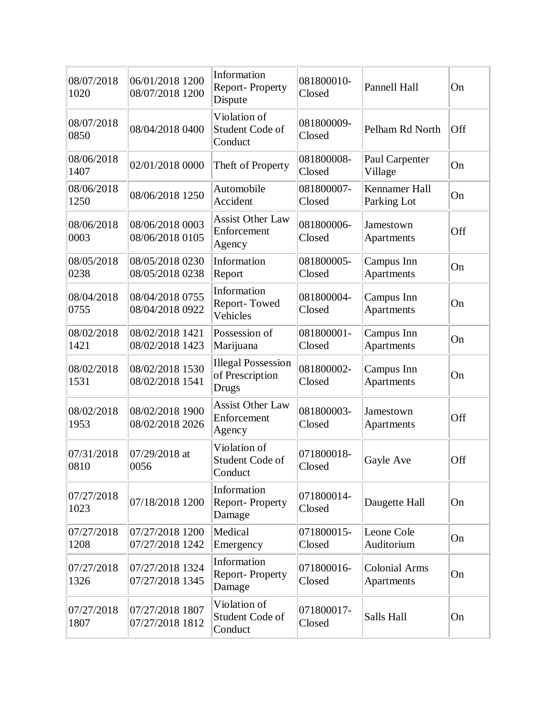| 08/07/2018<br>1020 | 06/01/2018 1200<br>08/07/2018 1200 | Information<br><b>Report-Property</b><br>Dispute      | 081800010-<br>Closed | Pannell Hall                       | On  |
|--------------------|------------------------------------|-------------------------------------------------------|----------------------|------------------------------------|-----|
| 08/07/2018<br>0850 | 08/04/2018 0400                    | Violation of<br>Student Code of<br>Conduct            | 081800009-<br>Closed | Pelham Rd North                    | Off |
| 08/06/2018<br>1407 | 02/01/2018 0000                    | Theft of Property                                     | 081800008-<br>Closed | Paul Carpenter<br>Village          | On  |
| 08/06/2018<br>1250 | 08/06/2018 1250                    | Automobile<br>Accident                                | 081800007-<br>Closed | Kennamer Hall<br>Parking Lot       | On  |
| 08/06/2018<br>0003 | 08/06/2018 0003<br>08/06/2018 0105 | <b>Assist Other Law</b><br>Enforcement<br>Agency      | 081800006-<br>Closed | Jamestown<br>Apartments            | Off |
| 08/05/2018<br>0238 | 08/05/2018 0230<br>08/05/2018 0238 | Information<br>Report                                 | 081800005-<br>Closed | Campus Inn<br>Apartments           | On  |
| 08/04/2018<br>0755 | 08/04/2018 0755<br>08/04/2018 0922 | Information<br>Report-Towed<br>Vehicles               | 081800004-<br>Closed | Campus Inn<br>Apartments           | On  |
| 08/02/2018<br>1421 | 08/02/2018 1421<br>08/02/2018 1423 | Possession of<br>Marijuana                            | 081800001-<br>Closed | Campus Inn<br>Apartments           | On  |
| 08/02/2018<br>1531 | 08/02/2018 1530<br>08/02/2018 1541 | <b>Illegal Possession</b><br>of Prescription<br>Drugs | 081800002-<br>Closed | Campus Inn<br>Apartments           | On  |
| 08/02/2018<br>1953 | 08/02/2018 1900<br>08/02/2018 2026 | <b>Assist Other Law</b><br>Enforcement<br>Agency      | 081800003-<br>Closed | Jamestown<br>Apartments            | Off |
| 07/31/2018<br>0810 | 07/29/2018 at<br>0056              | Violation of<br>Student Code of<br>Conduct            | 071800018-<br>Closed | Gayle Ave                          | Off |
| 07/27/2018<br>1023 | 07/18/2018 1200                    | Information<br>Report-Property<br>Damage              | 071800014-<br>Closed | Daugette Hall                      | On  |
| 07/27/2018<br>1208 | 07/27/2018 1200<br>07/27/2018 1242 | Medical<br>Emergency                                  | 071800015-<br>Closed | Leone Cole<br>Auditorium           | On  |
| 07/27/2018<br>1326 | 07/27/2018 1324<br>07/27/2018 1345 | Information<br>Report-Property<br>Damage              | 071800016-<br>Closed | <b>Colonial Arms</b><br>Apartments | On  |
| 07/27/2018<br>1807 | 07/27/2018 1807<br>07/27/2018 1812 | Violation of<br>Student Code of<br>Conduct            | 071800017-<br>Closed | Salls Hall                         | On  |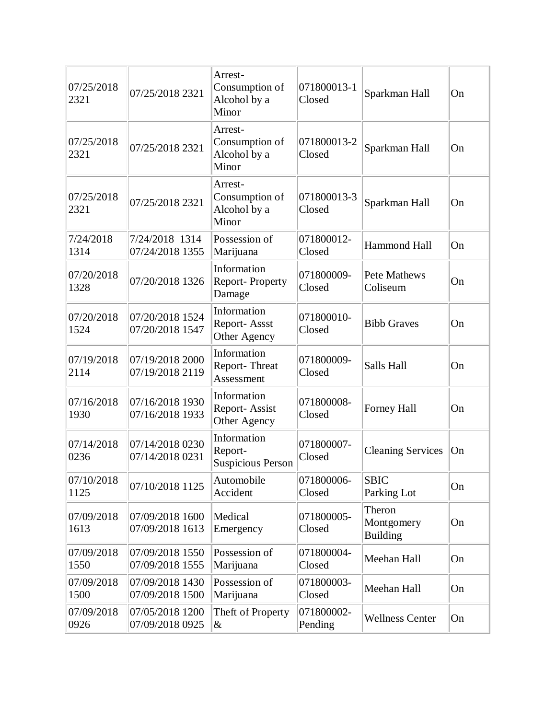| 07/25/2018<br>2321 | 07/25/2018 2321                    | Arrest-<br>Consumption of<br>Alcohol by a<br>Minor | 071800013-1<br>Closed | Sparkman Hall                           | On |
|--------------------|------------------------------------|----------------------------------------------------|-----------------------|-----------------------------------------|----|
| 07/25/2018<br>2321 | 07/25/2018 2321                    | Arrest-<br>Consumption of<br>Alcohol by a<br>Minor | 071800013-2<br>Closed | Sparkman Hall                           | On |
| 07/25/2018<br>2321 | 07/25/2018 2321                    | Arrest-<br>Consumption of<br>Alcohol by a<br>Minor | 071800013-3<br>Closed | Sparkman Hall                           | On |
| 7/24/2018<br>1314  | 7/24/2018 1314<br>07/24/2018 1355  | Possession of<br>Marijuana                         | 071800012-<br>Closed  | <b>Hammond Hall</b>                     | On |
| 07/20/2018<br>1328 | 07/20/2018 1326                    | Information<br>Report-Property<br>Damage           | 071800009-<br>Closed  | <b>Pete Mathews</b><br>Coliseum         | On |
| 07/20/2018<br>1524 | 07/20/2018 1524<br>07/20/2018 1547 | Information<br>Report-Assst<br>Other Agency        | 071800010-<br>Closed  | <b>Bibb Graves</b>                      | On |
| 07/19/2018<br>2114 | 07/19/2018 2000<br>07/19/2018 2119 | Information<br>Report-Threat<br>Assessment         | 071800009-<br>Closed  | Salls Hall                              | On |
| 07/16/2018<br>1930 | 07/16/2018 1930<br>07/16/2018 1933 | Information<br>Report-Assist<br>Other Agency       | 071800008-<br>Closed  | Forney Hall                             | On |
| 07/14/2018<br>0236 | 07/14/2018 0230<br>07/14/2018 0231 | Information<br>Report-<br><b>Suspicious Person</b> | 071800007-<br>Closed  | <b>Cleaning Services</b>                | On |
| 07/10/2018<br>1125 | 07/10/2018 1125                    | Automobile<br>Accident                             | 071800006-<br>Closed  | <b>SBIC</b><br>Parking Lot              | On |
| 07/09/2018<br>1613 | 07/09/2018 1600<br>07/09/2018 1613 | Medical<br>Emergency                               | 071800005-<br>Closed  | Theron<br>Montgomery<br><b>Building</b> | On |
| 07/09/2018<br>1550 | 07/09/2018 1550<br>07/09/2018 1555 | Possession of<br>Marijuana                         | 071800004-<br>Closed  | Meehan Hall                             | On |
| 07/09/2018<br>1500 | 07/09/2018 1430<br>07/09/2018 1500 | Possession of<br>Marijuana                         | 071800003-<br>Closed  | Meehan Hall                             | On |
| 07/09/2018<br>0926 | 07/05/2018 1200<br>07/09/2018 0925 | Theft of Property<br>$\&$                          | 071800002-<br>Pending | <b>Wellness Center</b>                  | On |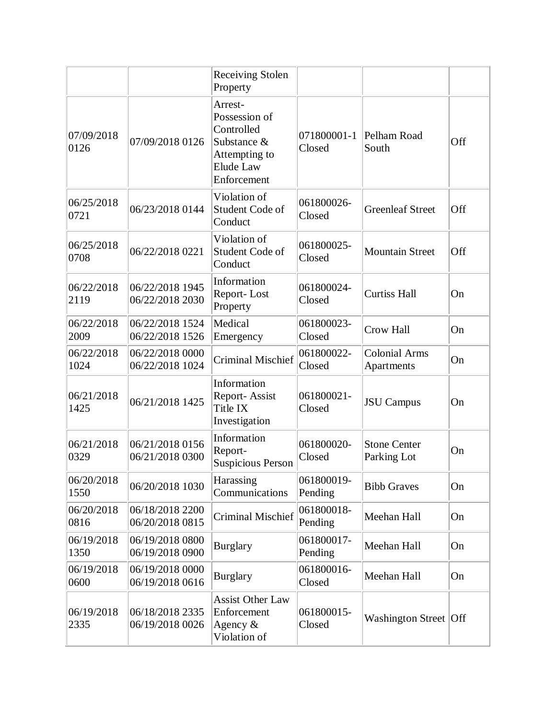|                    |                                    | <b>Receiving Stolen</b><br>Property                                                                |                       |                                    |     |
|--------------------|------------------------------------|----------------------------------------------------------------------------------------------------|-----------------------|------------------------------------|-----|
| 07/09/2018<br>0126 | 07/09/2018 0126                    | Arrest-<br>Possession of<br>Controlled<br>Substance &<br>Attempting to<br>Elude Law<br>Enforcement | 071800001-1<br>Closed | Pelham Road<br>South               | Off |
| 06/25/2018<br>0721 | 06/23/2018 0144                    | Violation of<br>Student Code of<br>Conduct                                                         | 061800026-<br>Closed  | <b>Greenleaf Street</b>            | Off |
| 06/25/2018<br>0708 | 06/22/2018 0221                    | Violation of<br>Student Code of<br>Conduct                                                         | 061800025-<br>Closed  | <b>Mountain Street</b>             | Off |
| 06/22/2018<br>2119 | 06/22/2018 1945<br>06/22/2018 2030 | Information<br>Report-Lost<br>Property                                                             | 061800024-<br>Closed  | <b>Curtiss Hall</b>                | On  |
| 06/22/2018<br>2009 | 06/22/2018 1524<br>06/22/2018 1526 | Medical<br>Emergency                                                                               | 061800023-<br>Closed  | Crow Hall                          | On  |
| 06/22/2018<br>1024 | 06/22/2018 0000<br>06/22/2018 1024 | <b>Criminal Mischief</b>                                                                           | 061800022-<br>Closed  | <b>Colonial Arms</b><br>Apartments | On  |
| 06/21/2018<br>1425 | 06/21/2018 1425                    | Information<br>Report-Assist<br>Title IX<br>Investigation                                          | 061800021-<br>Closed  | <b>JSU</b> Campus                  | On  |
| 06/21/2018<br>0329 | 06/21/2018 0156<br>06/21/2018 0300 | Information<br>Report-<br><b>Suspicious Person</b>                                                 | 061800020-<br>Closed  | <b>Stone Center</b><br>Parking Lot | On  |
| 06/20/2018<br>1550 | 06/20/2018 1030                    | Harassing<br>Communications                                                                        | 061800019-<br>Pending | <b>Bibb Graves</b>                 | On  |
| 06/20/2018<br>0816 | 06/18/2018 2200<br>06/20/2018 0815 | <b>Criminal Mischief</b>                                                                           | 061800018-<br>Pending | Meehan Hall                        | On  |
| 06/19/2018<br>1350 | 06/19/2018 0800<br>06/19/2018 0900 | <b>Burglary</b>                                                                                    | 061800017-<br>Pending | Meehan Hall                        | On  |
| 06/19/2018<br>0600 | 06/19/2018 0000<br>06/19/2018 0616 | <b>Burglary</b>                                                                                    | 061800016-<br>Closed  | Meehan Hall                        | On  |
| 06/19/2018<br>2335 | 06/18/2018 2335<br>06/19/2018 0026 | <b>Assist Other Law</b><br>Enforcement<br>Agency $\&$<br>Violation of                              | 061800015-<br>Closed  | Washington Street Off              |     |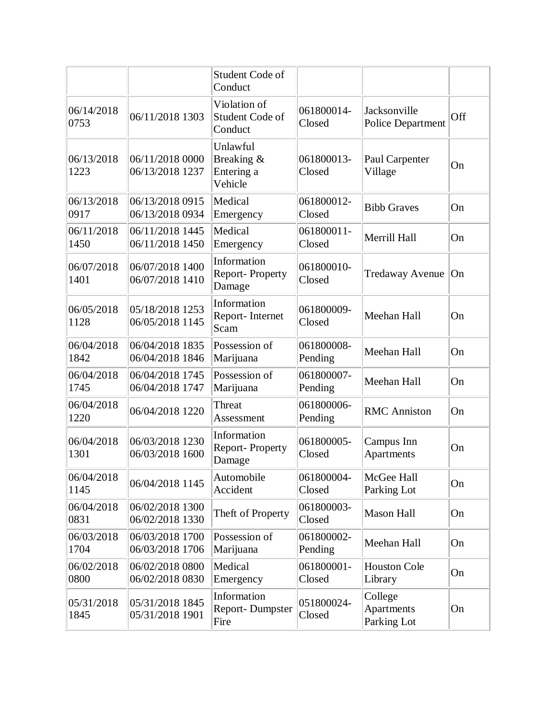|                    |                                    | Student Code of<br>Conduct                      |                       |                                          |     |
|--------------------|------------------------------------|-------------------------------------------------|-----------------------|------------------------------------------|-----|
| 06/14/2018<br>0753 | 06/11/2018 1303                    | Violation of<br>Student Code of<br>Conduct      | 061800014-<br>Closed  | Jacksonville<br><b>Police Department</b> | Off |
| 06/13/2018<br>1223 | 06/11/2018 0000<br>06/13/2018 1237 | Unlawful<br>Breaking &<br>Entering a<br>Vehicle | 061800013-<br>Closed  | Paul Carpenter<br>Village                | On  |
| 06/13/2018<br>0917 | 06/13/2018 0915<br>06/13/2018 0934 | Medical<br>Emergency                            | 061800012-<br>Closed  | <b>Bibb Graves</b>                       | On  |
| 06/11/2018<br>1450 | 06/11/2018 1445<br>06/11/2018 1450 | Medical<br>Emergency                            | 061800011-<br>Closed  | Merrill Hall                             | On  |
| 06/07/2018<br>1401 | 06/07/2018 1400<br>06/07/2018 1410 | Information<br>Report-Property<br>Damage        | 061800010-<br>Closed  | <b>Tredaway Avenue</b>                   | On  |
| 06/05/2018<br>1128 | 05/18/2018 1253<br>06/05/2018 1145 | Information<br>Report-Internet<br>Scam          | 061800009-<br>Closed  | Meehan Hall                              | On  |
| 06/04/2018<br>1842 | 06/04/2018 1835<br>06/04/2018 1846 | Possession of<br>Marijuana                      | 061800008-<br>Pending | Meehan Hall                              | On  |
| 06/04/2018<br>1745 | 06/04/2018 1745<br>06/04/2018 1747 | Possession of<br>Marijuana                      | 061800007-<br>Pending | Meehan Hall                              | On  |
| 06/04/2018<br>1220 | 06/04/2018 1220                    | Threat<br>Assessment                            | 061800006-<br>Pending | <b>RMC</b> Anniston                      | On  |
| 06/04/2018<br>1301 | 06/03/2018 1230<br>06/03/2018 1600 | Information<br>Report-Property<br>Damage        | 061800005-<br>Closed  | Campus Inn<br>Apartments                 | On  |
| 06/04/2018<br>1145 | 06/04/2018 1145                    | Automobile<br>Accident                          | 061800004-<br>Closed  | McGee Hall<br>Parking Lot                | On  |
| 06/04/2018<br>0831 | 06/02/2018 1300<br>06/02/2018 1330 | Theft of Property                               | 061800003-<br>Closed  | <b>Mason Hall</b>                        | On  |
| 06/03/2018<br>1704 | 06/03/2018 1700<br>06/03/2018 1706 | Possession of<br>Marijuana                      | 061800002-<br>Pending | Meehan Hall                              | On  |
| 06/02/2018<br>0800 | 06/02/2018 0800<br>06/02/2018 0830 | Medical<br>Emergency                            | 061800001-<br>Closed  | <b>Houston Cole</b><br>Library           | On  |
| 05/31/2018<br>1845 | 05/31/2018 1845<br>05/31/2018 1901 | Information<br><b>Report-Dumpster</b><br>Fire   | 051800024-<br>Closed  | College<br>Apartments<br>Parking Lot     | On  |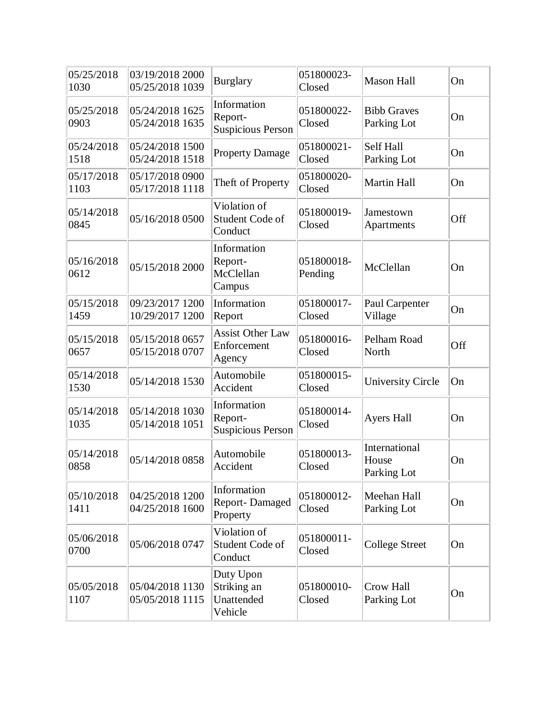| 05/25/2018<br>1030 | 03/19/2018 2000<br>05/25/2018 1039 | <b>Burglary</b>                                    | 051800023-<br>Closed  | <b>Mason Hall</b>                     | On  |
|--------------------|------------------------------------|----------------------------------------------------|-----------------------|---------------------------------------|-----|
| 05/25/2018<br>0903 | 05/24/2018 1625<br>05/24/2018 1635 | Information<br>Report-<br><b>Suspicious Person</b> | 051800022-<br>Closed  | <b>Bibb Graves</b><br>Parking Lot     | On  |
| 05/24/2018<br>1518 | 05/24/2018 1500<br>05/24/2018 1518 | <b>Property Damage</b>                             | 051800021-<br>Closed  | Self Hall<br>Parking Lot              | On  |
| 05/17/2018<br>1103 | 05/17/2018 0900<br>05/17/2018 1118 | Theft of Property                                  | 051800020-<br>Closed  | <b>Martin Hall</b>                    | On  |
| 05/14/2018<br>0845 | 05/16/2018 0500                    | Violation of<br>Student Code of<br>Conduct         | 051800019-<br>Closed  | Jamestown<br>Apartments               | Off |
| 05/16/2018<br>0612 | 05/15/2018 2000                    | Information<br>Report-<br>McClellan<br>Campus      | 051800018-<br>Pending | McClellan                             | On  |
| 05/15/2018<br>1459 | 09/23/2017 1200<br>10/29/2017 1200 | Information<br>Report                              | 051800017-<br>Closed  | Paul Carpenter<br>Village             | On  |
| 05/15/2018<br>0657 | 05/15/2018 0657<br>05/15/2018 0707 | <b>Assist Other Law</b><br>Enforcement<br>Agency   | 051800016-<br>Closed  | Pelham Road<br>North                  | Off |
| 05/14/2018<br>1530 | 05/14/2018 1530                    | Automobile<br>Accident                             | 051800015-<br>Closed  | University Circle                     | On  |
| 05/14/2018<br>1035 | 05/14/2018 1030<br>05/14/2018 1051 | Information<br>Report-<br><b>Suspicious Person</b> | 051800014-<br>Closed  | <b>Ayers Hall</b>                     | On  |
| 05/14/2018<br>0858 | 05/14/2018 0858                    | Automobile<br>Accident                             | 051800013-<br>Closed  | International<br>House<br>Parking Lot | On  |
| 05/10/2018<br>1411 | 04/25/2018 1200<br>04/25/2018 1600 | Information<br><b>Report-Damaged</b><br>Property   | 051800012-<br>Closed  | Meehan Hall<br>Parking Lot            | On  |
| 05/06/2018<br>0700 | 05/06/2018 0747                    | Violation of<br>Student Code of<br>Conduct         | 051800011-<br>Closed  | <b>College Street</b>                 | On  |
| 05/05/2018<br>1107 | 05/04/2018 1130<br>05/05/2018 1115 | Duty Upon<br>Striking an<br>Unattended<br>Vehicle  | 051800010-<br>Closed  | Crow Hall<br>Parking Lot              | On  |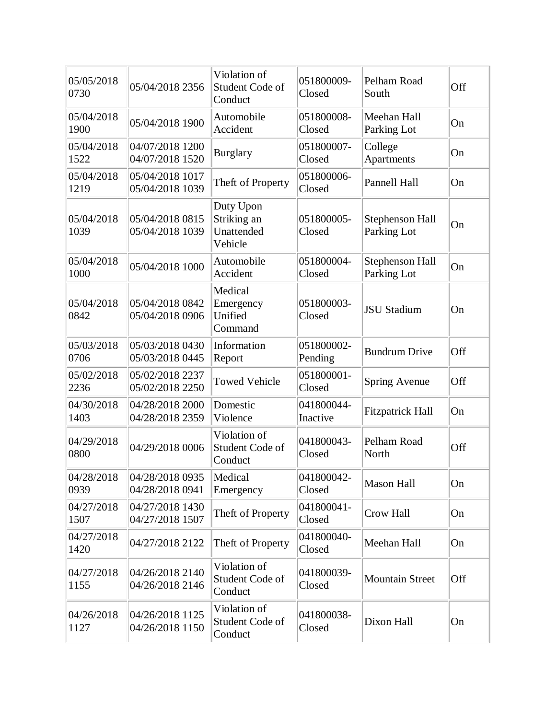| 05/05/2018<br>0730 | 05/04/2018 2356                    | Violation of<br>Student Code of<br>Conduct        | 051800009-<br>Closed   | Pelham Road<br>South                  | Off |
|--------------------|------------------------------------|---------------------------------------------------|------------------------|---------------------------------------|-----|
| 05/04/2018<br>1900 | 05/04/2018 1900                    | Automobile<br>Accident                            | 051800008-<br>Closed   | Meehan Hall<br>Parking Lot            | On  |
| 05/04/2018<br>1522 | 04/07/2018 1200<br>04/07/2018 1520 | <b>Burglary</b>                                   | 051800007-<br>Closed   | College<br>Apartments                 | On  |
| 05/04/2018<br>1219 | 05/04/2018 1017<br>05/04/2018 1039 | Theft of Property                                 | 051800006-<br>Closed   | Pannell Hall                          | On  |
| 05/04/2018<br>1039 | 05/04/2018 0815<br>05/04/2018 1039 | Duty Upon<br>Striking an<br>Unattended<br>Vehicle | 051800005-<br>Closed   | Stephenson Hall<br>Parking Lot        | On  |
| 05/04/2018<br>1000 | 05/04/2018 1000                    | Automobile<br>Accident                            | 051800004-<br>Closed   | <b>Stephenson Hall</b><br>Parking Lot | On  |
| 05/04/2018<br>0842 | 05/04/2018 0842<br>05/04/2018 0906 | Medical<br>Emergency<br>Unified<br>Command        | 051800003-<br>Closed   | <b>JSU Stadium</b>                    | On  |
| 05/03/2018<br>0706 | 05/03/2018 0430<br>05/03/2018 0445 | Information<br>Report                             | 051800002-<br>Pending  | <b>Bundrum Drive</b>                  | Off |
| 05/02/2018<br>2236 | 05/02/2018 2237<br>05/02/2018 2250 | <b>Towed Vehicle</b>                              | 051800001-<br>Closed   | <b>Spring Avenue</b>                  | Off |
| 04/30/2018<br>1403 | 04/28/2018 2000<br>04/28/2018 2359 | Domestic<br>Violence                              | 041800044-<br>Inactive | <b>Fitzpatrick Hall</b>               | On  |
| 04/29/2018<br>0800 | 04/29/2018 0006                    | Violation of<br>Student Code of<br>Conduct        | 041800043-<br>Closed   | Pelham Road<br>North                  | Off |
| 04/28/2018<br>0939 | 04/28/2018 0935<br>04/28/2018 0941 | Medical<br>Emergency                              | 041800042-<br>Closed   | Mason Hall                            | On  |
| 04/27/2018<br>1507 | 04/27/2018 1430<br>04/27/2018 1507 | Theft of Property                                 | 041800041-<br>Closed   | Crow Hall                             | On  |
| 04/27/2018<br>1420 | 04/27/2018 2122                    | Theft of Property                                 | 041800040-<br>Closed   | Meehan Hall                           | On  |
| 04/27/2018<br>1155 | 04/26/2018 2140<br>04/26/2018 2146 | Violation of<br>Student Code of<br>Conduct        | 041800039-<br>Closed   | <b>Mountain Street</b>                | Off |
| 04/26/2018<br>1127 | 04/26/2018 1125<br>04/26/2018 1150 | Violation of<br>Student Code of<br>Conduct        | 041800038-<br>Closed   | Dixon Hall                            | On  |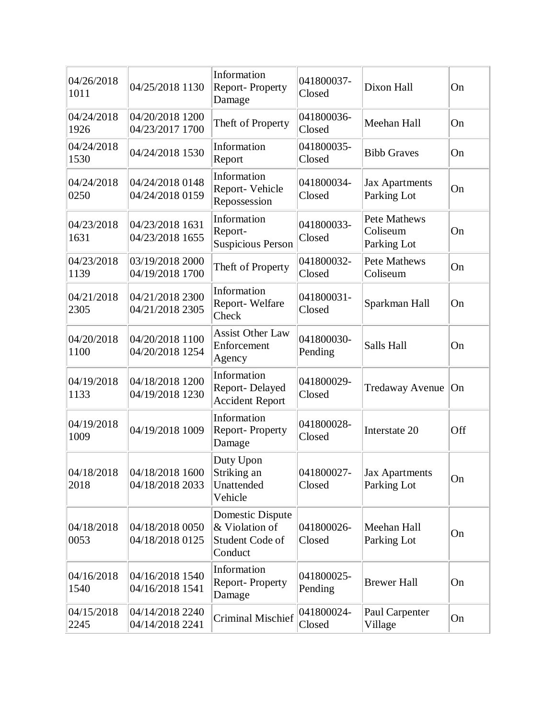| 04/26/2018<br>1011 | 04/25/2018 1130                    | Information<br><b>Report-Property</b><br>Damage                  | 041800037-<br>Closed  | Dixon Hall                                     | On  |
|--------------------|------------------------------------|------------------------------------------------------------------|-----------------------|------------------------------------------------|-----|
| 04/24/2018<br>1926 | 04/20/2018 1200<br>04/23/2017 1700 | Theft of Property                                                | 041800036-<br>Closed  | Meehan Hall                                    | On  |
| 04/24/2018<br>1530 | 04/24/2018 1530                    | Information<br>Report                                            | 041800035-<br>Closed  | <b>Bibb Graves</b>                             | On  |
| 04/24/2018<br>0250 | 04/24/2018 0148<br>04/24/2018 0159 | Information<br>Report-Vehicle<br>Repossession                    | 041800034-<br>Closed  | <b>Jax Apartments</b><br>Parking Lot           | On  |
| 04/23/2018<br>1631 | 04/23/2018 1631<br>04/23/2018 1655 | Information<br>Report-<br><b>Suspicious Person</b>               | 041800033-<br>Closed  | <b>Pete Mathews</b><br>Coliseum<br>Parking Lot | On  |
| 04/23/2018<br>1139 | 03/19/2018 2000<br>04/19/2018 1700 | Theft of Property                                                | 041800032-<br>Closed  | <b>Pete Mathews</b><br>Coliseum                | On  |
| 04/21/2018<br>2305 | 04/21/2018 2300<br>04/21/2018 2305 | Information<br>Report-Welfare<br>Check                           | 041800031-<br>Closed  | Sparkman Hall                                  | On  |
| 04/20/2018<br>1100 | 04/20/2018 1100<br>04/20/2018 1254 | <b>Assist Other Law</b><br>Enforcement<br>Agency                 | 041800030-<br>Pending | Salls Hall                                     | On  |
| 04/19/2018<br>1133 | 04/18/2018 1200<br>04/19/2018 1230 | Information<br>Report-Delayed<br><b>Accident Report</b>          | 041800029-<br>Closed  | Tredaway Avenue                                | On  |
| 04/19/2018<br>1009 | 04/19/2018 1009                    | Information<br><b>Report-Property</b><br>Damage                  | 041800028-<br>Closed  | Interstate 20                                  | Off |
| 04/18/2018<br>2018 | 04/18/2018 1600<br>04/18/2018 2033 | Duty Upon<br>Striking an<br>Unattended<br>Vehicle                | 041800027-<br>Closed  | <b>Jax Apartments</b><br>Parking Lot           | On  |
| 04/18/2018<br>0053 | 04/18/2018 0050<br>04/18/2018 0125 | Domestic Dispute<br>& Violation of<br>Student Code of<br>Conduct | 041800026-<br>Closed  | Meehan Hall<br>Parking Lot                     | On  |
| 04/16/2018<br>1540 | 04/16/2018 1540<br>04/16/2018 1541 | Information<br><b>Report-Property</b><br>Damage                  | 041800025-<br>Pending | <b>Brewer Hall</b>                             | On  |
| 04/15/2018<br>2245 | 04/14/2018 2240<br>04/14/2018 2241 | <b>Criminal Mischief</b>                                         | 041800024-<br>Closed  | Paul Carpenter<br>Village                      | On  |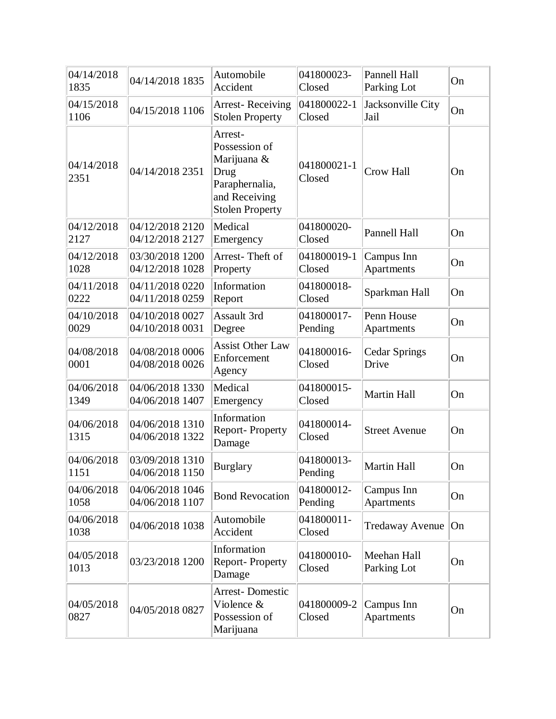| 04/14/2018<br>1835 | 04/14/2018 1835                    | Automobile<br>Accident                                                                                       | 041800023-<br>Closed  | Pannell Hall<br>Parking Lot   | On |
|--------------------|------------------------------------|--------------------------------------------------------------------------------------------------------------|-----------------------|-------------------------------|----|
| 04/15/2018<br>1106 | 04/15/2018 1106                    | <b>Arrest-Receiving</b><br><b>Stolen Property</b>                                                            | 041800022-1<br>Closed | Jacksonville City<br>Jail     | On |
| 04/14/2018<br>2351 | 04/14/2018 2351                    | Arrest-<br>Possession of<br>Marijuana &<br>Drug<br>Paraphernalia,<br>and Receiving<br><b>Stolen Property</b> | 041800021-1<br>Closed | <b>Crow Hall</b>              | On |
| 04/12/2018<br>2127 | 04/12/2018 2120<br>04/12/2018 2127 | Medical<br>Emergency                                                                                         | 041800020-<br>Closed  | Pannell Hall                  | On |
| 04/12/2018<br>1028 | 03/30/2018 1200<br>04/12/2018 1028 | Arrest-Theft of<br>Property                                                                                  | 041800019-1<br>Closed | Campus Inn<br>Apartments      | On |
| 04/11/2018<br>0222 | 04/11/2018 0220<br>04/11/2018 0259 | Information<br>Report                                                                                        | 041800018-<br>Closed  | Sparkman Hall                 | On |
| 04/10/2018<br>0029 | 04/10/2018 0027<br>04/10/2018 0031 | Assault 3rd<br>Degree                                                                                        | 041800017-<br>Pending | Penn House<br>Apartments      | On |
| 04/08/2018<br>0001 | 04/08/2018 0006<br>04/08/2018 0026 | <b>Assist Other Law</b><br>Enforcement<br>Agency                                                             | 041800016-<br>Closed  | <b>Cedar Springs</b><br>Drive | On |
| 04/06/2018<br>1349 | 04/06/2018 1330<br>04/06/2018 1407 | Medical<br>Emergency                                                                                         | 041800015-<br>Closed  | <b>Martin Hall</b>            | On |
| 04/06/2018<br>1315 | 04/06/2018 1310<br>04/06/2018 1322 | Information<br><b>Report-Property</b><br>Damage                                                              | 041800014-<br>Closed  | <b>Street Avenue</b>          | On |
| 04/06/2018<br>1151 | 03/09/2018 1310<br>04/06/2018 1150 | <b>Burglary</b>                                                                                              | 041800013-<br>Pending | <b>Martin Hall</b>            | On |
| 04/06/2018<br>1058 | 04/06/2018 1046<br>04/06/2018 1107 | <b>Bond Revocation</b>                                                                                       | 041800012-<br>Pending | Campus Inn<br>Apartments      | On |
| 04/06/2018<br>1038 | 04/06/2018 1038                    | Automobile<br>Accident                                                                                       | 041800011-<br>Closed  | <b>Tredaway Avenue</b>        | On |
| 04/05/2018<br>1013 | 03/23/2018 1200                    | Information<br>Report-Property<br>Damage                                                                     | 041800010-<br>Closed  | Meehan Hall<br>Parking Lot    | On |
| 04/05/2018<br>0827 | 04/05/2018 0827                    | <b>Arrest-Domestic</b><br>Violence &<br>Possession of<br>Marijuana                                           | 041800009-2<br>Closed | Campus Inn<br>Apartments      | On |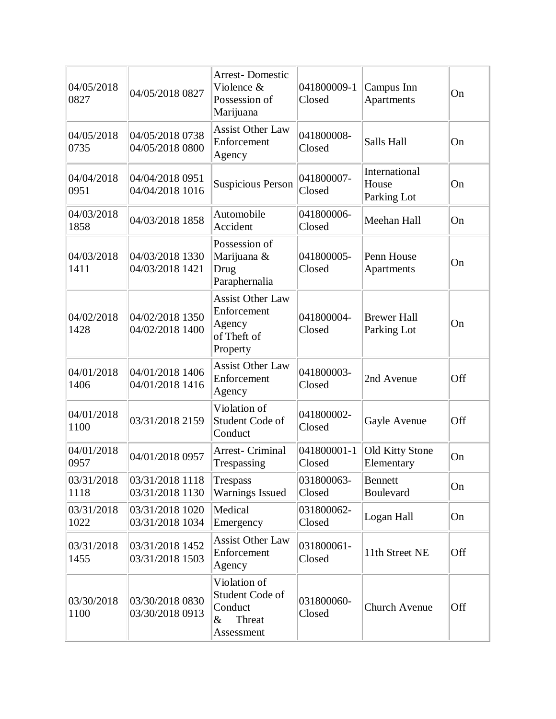| 04/05/2018<br>0827 | 04/05/2018 0827                    | <b>Arrest-Domestic</b><br>Violence &<br>Possession of<br>Marijuana          | 041800009-1<br>Closed | Campus Inn<br>Apartments              | On  |
|--------------------|------------------------------------|-----------------------------------------------------------------------------|-----------------------|---------------------------------------|-----|
| 04/05/2018<br>0735 | 04/05/2018 0738<br>04/05/2018 0800 | <b>Assist Other Law</b><br>Enforcement<br>Agency                            | 041800008-<br>Closed  | Salls Hall                            | On  |
| 04/04/2018<br>0951 | 04/04/2018 0951<br>04/04/2018 1016 | <b>Suspicious Person</b>                                                    | 041800007-<br>Closed  | International<br>House<br>Parking Lot | On  |
| 04/03/2018<br>1858 | 04/03/2018 1858                    | Automobile<br>Accident                                                      | 041800006-<br>Closed  | Meehan Hall                           | On  |
| 04/03/2018<br>1411 | 04/03/2018 1330<br>04/03/2018 1421 | Possession of<br>Marijuana &<br>Drug<br>Paraphernalia                       | 041800005-<br>Closed  | Penn House<br>Apartments              | On  |
| 04/02/2018<br>1428 | 04/02/2018 1350<br>04/02/2018 1400 | <b>Assist Other Law</b><br>Enforcement<br>Agency<br>of Theft of<br>Property | 041800004-<br>Closed  | <b>Brewer Hall</b><br>Parking Lot     | On  |
| 04/01/2018<br>1406 | 04/01/2018 1406<br>04/01/2018 1416 | <b>Assist Other Law</b><br>Enforcement<br>Agency                            | 041800003-<br>Closed  | 2nd Avenue                            | Off |
| 04/01/2018<br>1100 | 03/31/2018 2159                    | Violation of<br>Student Code of<br>Conduct                                  | 041800002-<br>Closed  | Gayle Avenue                          | Off |
| 04/01/2018<br>0957 | 04/01/2018 0957                    | <b>Arrest- Criminal</b><br>Trespassing                                      | 041800001-1<br>Closed | <b>Old Kitty Stone</b><br>Elementary  | On  |
| 03/31/2018<br>1118 | 03/31/2018 1118<br>03/31/2018 1130 | <b>Trespass</b><br><b>Warnings Issued</b>                                   | 031800063-<br>Closed  | <b>Bennett</b><br>Boulevard           | On  |
| 03/31/2018<br>1022 | 03/31/2018 1020<br>03/31/2018 1034 | Medical<br>Emergency                                                        | 031800062-<br>Closed  | Logan Hall                            | On  |
| 03/31/2018<br>1455 | 03/31/2018 1452<br>03/31/2018 1503 | <b>Assist Other Law</b><br>Enforcement<br>Agency                            | 031800061-<br>Closed  | 11th Street NE                        | Off |
| 03/30/2018<br>1100 | 03/30/2018 0830<br>03/30/2018 0913 | Violation of<br>Student Code of<br>Conduct<br>$\&$<br>Threat<br>Assessment  | 031800060-<br>Closed  | <b>Church Avenue</b>                  | Off |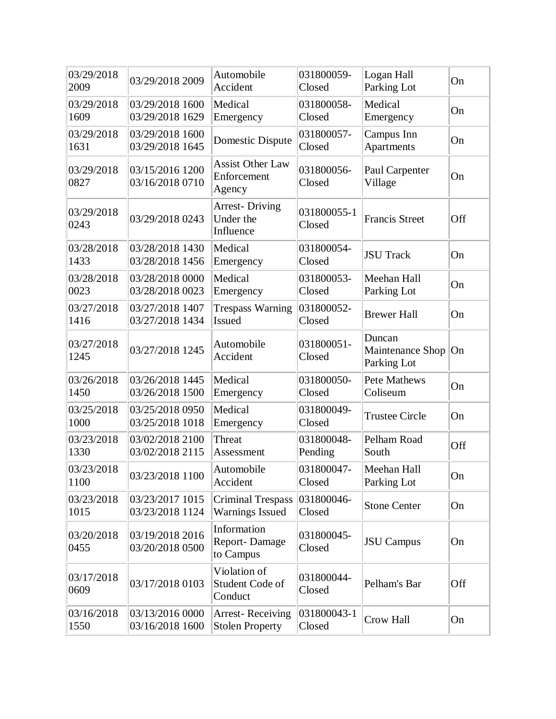| 03/29/2018<br>2009 | 03/29/2018 2009                    | Automobile<br>Accident                             | 031800059-<br>Closed  | Logan Hall<br>Parking Lot                 | On  |
|--------------------|------------------------------------|----------------------------------------------------|-----------------------|-------------------------------------------|-----|
| 03/29/2018<br>1609 | 03/29/2018 1600<br>03/29/2018 1629 | Medical<br>Emergency                               | 031800058-<br>Closed  | Medical<br>Emergency                      | On  |
| 03/29/2018<br>1631 | 03/29/2018 1600<br>03/29/2018 1645 | Domestic Dispute                                   | 031800057-<br>Closed  | Campus Inn<br>Apartments                  | On  |
| 03/29/2018<br>0827 | 03/15/2016 1200<br>03/16/2018 0710 | <b>Assist Other Law</b><br>Enforcement<br>Agency   | 031800056-<br>Closed  | Paul Carpenter<br>Village                 | On  |
| 03/29/2018<br>0243 | 03/29/2018 0243                    | <b>Arrest-Driving</b><br>Under the<br>Influence    | 031800055-1<br>Closed | <b>Francis Street</b>                     | Off |
| 03/28/2018<br>1433 | 03/28/2018 1430<br>03/28/2018 1456 | Medical<br>Emergency                               | 031800054-<br>Closed  | <b>JSU Track</b>                          | On  |
| 03/28/2018<br>0023 | 03/28/2018 0000<br>03/28/2018 0023 | Medical<br>Emergency                               | 031800053-<br>Closed  | Meehan Hall<br>Parking Lot                | On  |
| 03/27/2018<br>1416 | 03/27/2018 1407<br>03/27/2018 1434 | <b>Trespass Warning</b><br><b>Issued</b>           | 031800052-<br>Closed  | <b>Brewer Hall</b>                        | On  |
| 03/27/2018<br>1245 | 03/27/2018 1245                    | Automobile<br>Accident                             | 031800051-<br>Closed  | Duncan<br>Maintenance Shop<br>Parking Lot | On  |
| 03/26/2018<br>1450 | 03/26/2018 1445<br>03/26/2018 1500 | Medical<br>Emergency                               | 031800050-<br>Closed  | <b>Pete Mathews</b><br>Coliseum           | On  |
| 03/25/2018<br>1000 | 03/25/2018 0950<br>03/25/2018 1018 | Medical<br>Emergency                               | 031800049-<br>Closed  | <b>Trustee Circle</b>                     | On  |
| 03/23/2018<br>1330 | 03/02/2018 2100<br>03/02/2018 2115 | Threat<br>Assessment                               | 031800048-<br>Pending | Pelham Road<br>South                      | Off |
| 03/23/2018<br>1100 | 03/23/2018 1100                    | Automobile<br>Accident                             | 031800047-<br>Closed  | Meehan Hall<br>Parking Lot                | On  |
| 03/23/2018<br>1015 | 03/23/2017 1015<br>03/23/2018 1124 | <b>Criminal Trespass</b><br><b>Warnings Issued</b> | 031800046-<br>Closed  | <b>Stone Center</b>                       | On  |
| 03/20/2018<br>0455 | 03/19/2018 2016<br>03/20/2018 0500 | Information<br>Report-Damage<br>to Campus          | 031800045-<br>Closed  | <b>JSU</b> Campus                         | On  |
| 03/17/2018<br>0609 | 03/17/2018 0103                    | Violation of<br>Student Code of<br>Conduct         | 031800044-<br>Closed  | Pelham's Bar                              | Off |
| 03/16/2018<br>1550 | 03/13/2016 0000<br>03/16/2018 1600 | <b>Arrest-Receiving</b><br><b>Stolen Property</b>  | 031800043-1<br>Closed | Crow Hall                                 | On  |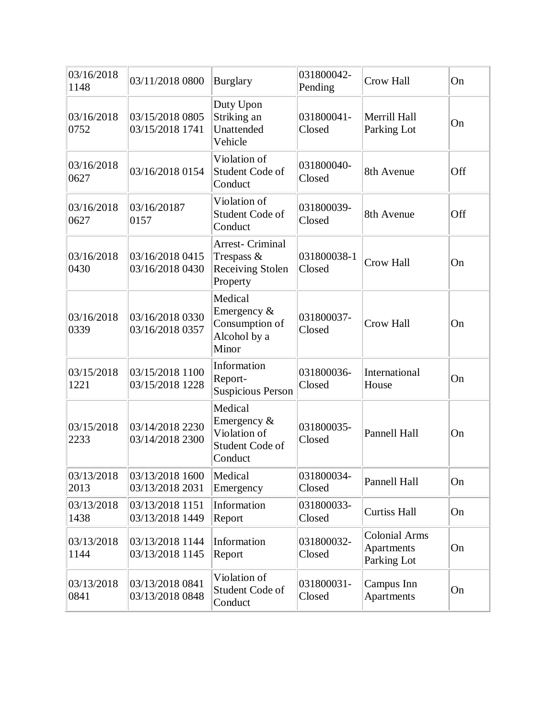| 03/16/2018<br>1148 | 03/11/2018 0800                    | <b>Burglary</b>                                                          | 031800042-<br>Pending | <b>Crow Hall</b>                                  | On  |
|--------------------|------------------------------------|--------------------------------------------------------------------------|-----------------------|---------------------------------------------------|-----|
| 03/16/2018<br>0752 | 03/15/2018 0805<br>03/15/2018 1741 | Duty Upon<br>Striking an<br>Unattended<br>Vehicle                        | 031800041-<br>Closed  | Merrill Hall<br>Parking Lot                       | On  |
| 03/16/2018<br>0627 | 03/16/2018 0154                    | Violation of<br>Student Code of<br>Conduct                               | 031800040-<br>Closed  | 8th Avenue                                        | Off |
| 03/16/2018<br>0627 | 03/16/20187<br>0157                | Violation of<br>Student Code of<br>Conduct                               | 031800039-<br>Closed  | 8th Avenue                                        | Off |
| 03/16/2018<br>0430 | 03/16/2018 0415<br>03/16/2018 0430 | <b>Arrest- Criminal</b><br>Trespass $\&$<br>Receiving Stolen<br>Property | 031800038-1<br>Closed | <b>Crow Hall</b>                                  | On  |
| 03/16/2018<br>0339 | 03/16/2018 0330<br>03/16/2018 0357 | Medical<br>Emergency $\&$<br>Consumption of<br>Alcohol by a<br>Minor     | 031800037-<br>Closed  | <b>Crow Hall</b>                                  | On  |
| 03/15/2018<br>1221 | 03/15/2018 1100<br>03/15/2018 1228 | Information<br>Report-<br><b>Suspicious Person</b>                       | 031800036-<br>Closed  | International<br>House                            | On  |
| 03/15/2018<br>2233 | 03/14/2018 2230<br>03/14/2018 2300 | Medical<br>Emergency &<br>Violation of<br>Student Code of<br>Conduct     | 031800035-<br>Closed  | Pannell Hall                                      | On  |
| 03/13/2018<br>2013 | 03/13/20181600<br>03/13/2018 2031  | Medical<br>Emergency                                                     | 031800034-<br>Closed  | Pannell Hall                                      | On  |
| 03/13/2018<br>1438 | 03/13/2018 1151<br>03/13/2018 1449 | Information<br>Report                                                    | 031800033-<br>Closed  | <b>Curtiss Hall</b>                               | On  |
| 03/13/2018<br>1144 | 03/13/2018 1144<br>03/13/2018 1145 | Information<br>Report                                                    | 031800032-<br>Closed  | <b>Colonial Arms</b><br>Apartments<br>Parking Lot | On  |
| 03/13/2018<br>0841 | 03/13/2018 0841<br>03/13/2018 0848 | Violation of<br>Student Code of<br>Conduct                               | 031800031-<br>Closed  | Campus Inn<br>Apartments                          | On  |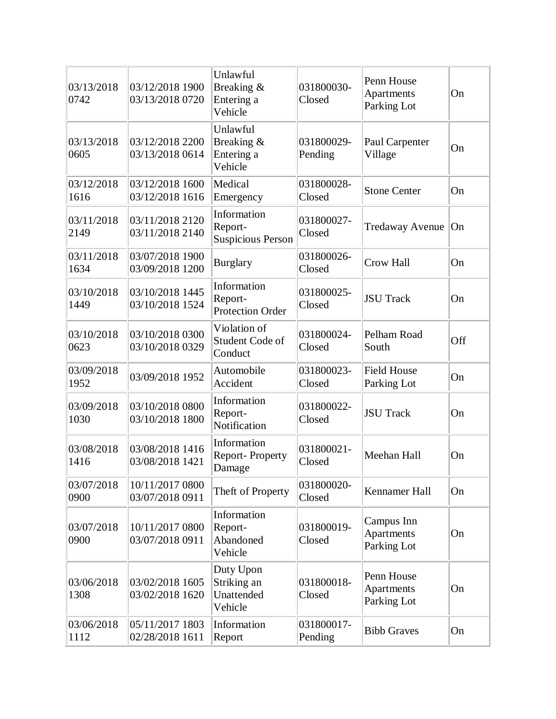| 03/13/2018<br>0742 | 03/12/2018 1900<br>03/13/2018 0720 | Unlawful<br>Breaking &<br>Entering a<br>Vehicle    | 031800030-<br>Closed  | Penn House<br>Apartments<br>Parking Lot | On  |
|--------------------|------------------------------------|----------------------------------------------------|-----------------------|-----------------------------------------|-----|
| 03/13/2018<br>0605 | 03/12/2018 2200<br>03/13/2018 0614 | Unlawful<br>Breaking &<br>Entering a<br>Vehicle    | 031800029-<br>Pending | Paul Carpenter<br>Village               | On  |
| 03/12/2018<br>1616 | 03/12/2018 1600<br>03/12/2018 1616 | Medical<br>Emergency                               | 031800028-<br>Closed  | <b>Stone Center</b>                     | On  |
| 03/11/2018<br>2149 | 03/11/2018 2120<br>03/11/2018 2140 | Information<br>Report-<br><b>Suspicious Person</b> | 031800027-<br>Closed  | Tredaway Avenue   On                    |     |
| 03/11/2018<br>1634 | 03/07/2018 1900<br>03/09/2018 1200 | <b>Burglary</b>                                    | 031800026-<br>Closed  | Crow Hall                               | On  |
| 03/10/2018<br>1449 | 03/10/2018 1445<br>03/10/2018 1524 | Information<br>Report-<br><b>Protection Order</b>  | 031800025-<br>Closed  | <b>JSU Track</b>                        | On  |
| 03/10/2018<br>0623 | 03/10/2018 0300<br>03/10/2018 0329 | Violation of<br>Student Code of<br>Conduct         | 031800024-<br>Closed  | Pelham Road<br>South                    | Off |
| 03/09/2018<br>1952 | 03/09/2018 1952                    | Automobile<br>Accident                             | 031800023-<br>Closed  | <b>Field House</b><br>Parking Lot       | On  |
| 03/09/2018<br>1030 | 03/10/2018 0800<br>03/10/2018 1800 | Information<br>Report-<br>Notification             | 031800022-<br>Closed  | <b>JSU Track</b>                        | On  |
| 03/08/2018<br>1416 | 03/08/2018 1416<br>03/08/2018 1421 | Information<br><b>Report-Property</b><br>Damage    | 031800021-<br>Closed  | Meehan Hall                             | On  |
| 03/07/2018<br>0900 | 10/11/2017 0800<br>03/07/2018 0911 | Theft of Property                                  | 031800020-<br>Closed  | Kennamer Hall                           | On  |
| 03/07/2018<br>0900 | 10/11/2017 0800<br>03/07/2018 0911 | Information<br>Report-<br>Abandoned<br>Vehicle     | 031800019-<br>Closed  | Campus Inn<br>Apartments<br>Parking Lot | On  |
| 03/06/2018<br>1308 | 03/02/2018 1605<br>03/02/2018 1620 | Duty Upon<br>Striking an<br>Unattended<br>Vehicle  | 031800018-<br>Closed  | Penn House<br>Apartments<br>Parking Lot | On  |
| 03/06/2018<br>1112 | 05/11/2017 1803<br>02/28/2018 1611 | Information<br>Report                              | 031800017-<br>Pending | <b>Bibb Graves</b>                      | On  |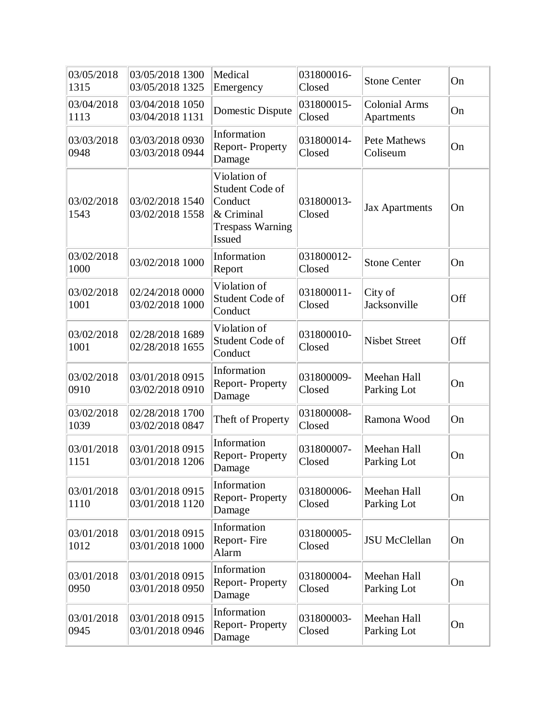| 03/05/2018<br>1315 | 03/05/2018 1300<br>03/05/2018 1325 | Medical<br>Emergency                                                                                 | 031800016-<br>Closed | <b>Stone Center</b>                | On  |
|--------------------|------------------------------------|------------------------------------------------------------------------------------------------------|----------------------|------------------------------------|-----|
| 03/04/2018<br>1113 | 03/04/2018 1050<br>03/04/2018 1131 | <b>Domestic Dispute</b>                                                                              | 031800015-<br>Closed | <b>Colonial Arms</b><br>Apartments | On  |
| 03/03/2018<br>0948 | 03/03/2018 0930<br>03/03/2018 0944 | Information<br>Report-Property<br>Damage                                                             | 031800014-<br>Closed | <b>Pete Mathews</b><br>Coliseum    | On  |
| 03/02/2018<br>1543 | 03/02/2018 1540<br>03/02/2018 1558 | Violation of<br>Student Code of<br>Conduct<br>& Criminal<br><b>Trespass Warning</b><br><b>Issued</b> | 031800013-<br>Closed | <b>Jax Apartments</b>              | On  |
| 03/02/2018<br>1000 | 03/02/2018 1000                    | Information<br>Report                                                                                | 031800012-<br>Closed | <b>Stone Center</b>                | On  |
| 03/02/2018<br>1001 | 02/24/2018 0000<br>03/02/2018 1000 | Violation of<br>Student Code of<br>Conduct                                                           | 031800011-<br>Closed | City of<br>Jacksonville            | Off |
| 03/02/2018<br>1001 | 02/28/2018 1689<br>02/28/2018 1655 | Violation of<br>Student Code of<br>Conduct                                                           | 031800010-<br>Closed | <b>Nisbet Street</b>               | Off |
| 03/02/2018<br>0910 | 03/01/2018 0915<br>03/02/2018 0910 | Information<br>Report-Property<br>Damage                                                             | 031800009-<br>Closed | Meehan Hall<br>Parking Lot         | On  |
| 03/02/2018<br>1039 | 02/28/2018 1700<br>03/02/2018 0847 | Theft of Property                                                                                    | 031800008-<br>Closed | Ramona Wood                        | On  |
| 03/01/2018<br>1151 | 03/01/2018 0915<br>03/01/2018 1206 | Information<br>Report-Property<br>Damage                                                             | 031800007-<br>Closed | Meehan Hall<br>Parking Lot         | On  |
| 03/01/2018<br>1110 | 03/01/2018 0915<br>03/01/2018 1120 | Information<br>Report-Property<br>Damage                                                             | 031800006-<br>Closed | Meehan Hall<br>Parking Lot         | On  |
| 03/01/2018<br>1012 | 03/01/2018 0915<br>03/01/2018 1000 | Information<br>Report-Fire<br>Alarm                                                                  | 031800005-<br>Closed | <b>JSU McClellan</b>               | On  |
| 03/01/2018<br>0950 | 03/01/2018 0915<br>03/01/2018 0950 | Information<br><b>Report-Property</b><br>Damage                                                      | 031800004-<br>Closed | Meehan Hall<br>Parking Lot         | On  |
| 03/01/2018<br>0945 | 03/01/2018 0915<br>03/01/2018 0946 | Information<br><b>Report-Property</b><br>Damage                                                      | 031800003-<br>Closed | Meehan Hall<br>Parking Lot         | On  |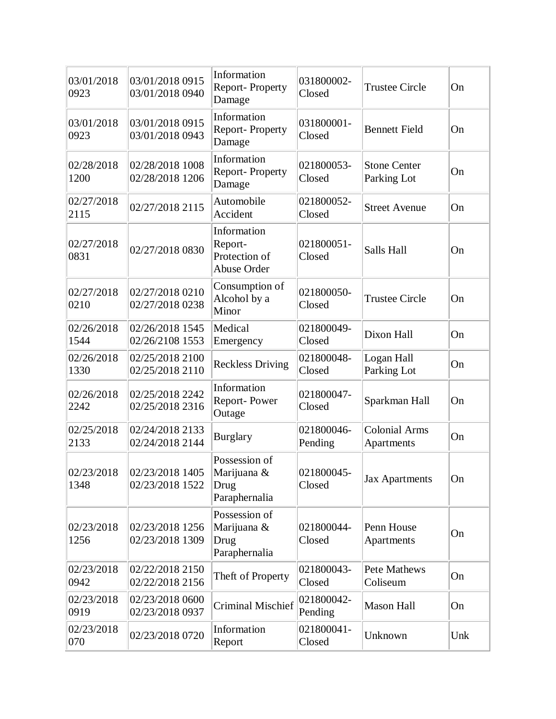| 03/01/2018<br>0923 | 03/01/2018 0915<br>03/01/2018 0940 | Information<br><b>Report-Property</b><br>Damage        | 031800002-<br>Closed  | <b>Trustee Circle</b>              | On  |
|--------------------|------------------------------------|--------------------------------------------------------|-----------------------|------------------------------------|-----|
| 03/01/2018<br>0923 | 03/01/2018 0915<br>03/01/2018 0943 | Information<br>Report-Property<br>Damage               | 031800001-<br>Closed  | <b>Bennett Field</b>               | On  |
| 02/28/2018<br>1200 | 02/28/2018 1008<br>02/28/2018 1206 | Information<br>Report-Property<br>Damage               | 021800053-<br>Closed  | <b>Stone Center</b><br>Parking Lot | On  |
| 02/27/2018<br>2115 | 02/27/2018 2115                    | Automobile<br>Accident                                 | 021800052-<br>Closed  | <b>Street Avenue</b>               | On  |
| 02/27/2018<br>0831 | 02/27/2018 0830                    | Information<br>Report-<br>Protection of<br>Abuse Order | 021800051-<br>Closed  | Salls Hall                         | On  |
| 02/27/2018<br>0210 | 02/27/2018 0210<br>02/27/2018 0238 | Consumption of<br>Alcohol by a<br>Minor                | 021800050-<br>Closed  | <b>Trustee Circle</b>              | On  |
| 02/26/2018<br>1544 | 02/26/2018 1545<br>02/26/2108 1553 | Medical<br>Emergency                                   | 021800049-<br>Closed  | Dixon Hall                         | On  |
| 02/26/2018<br>1330 | 02/25/2018 2100<br>02/25/2018 2110 | <b>Reckless Driving</b>                                | 021800048-<br>Closed  | Logan Hall<br>Parking Lot          | On  |
| 02/26/2018<br>2242 | 02/25/2018 2242<br>02/25/2018 2316 | Information<br>Report-Power<br>Outage                  | 021800047-<br>Closed  | Sparkman Hall                      | On  |
| 02/25/2018<br>2133 | 02/24/2018 2133<br>02/24/2018 2144 | <b>Burglary</b>                                        | 021800046-<br>Pending | <b>Colonial Arms</b><br>Apartments | On  |
| 02/23/2018<br>1348 | 02/23/2018 1405<br>02/23/2018 1522 | Possession of<br>Marijuana &<br>Drug<br>Paraphernalia  | 021800045-<br>Closed  | <b>Jax Apartments</b>              | On  |
| 02/23/2018<br>1256 | 02/23/2018 1256<br>02/23/2018 1309 | Possession of<br>Marijuana &<br>Drug<br>Paraphernalia  | 021800044-<br>Closed  | Penn House<br>Apartments           | On  |
| 02/23/2018<br>0942 | 02/22/2018 2150<br>02/22/2018 2156 | Theft of Property                                      | 021800043-<br>Closed  | <b>Pete Mathews</b><br>Coliseum    | On  |
| 02/23/2018<br>0919 | 02/23/2018 0600<br>02/23/2018 0937 | <b>Criminal Mischief</b>                               | 021800042-<br>Pending | <b>Mason Hall</b>                  | On  |
| 02/23/2018<br>070  | 02/23/2018 0720                    | Information<br>Report                                  | 021800041-<br>Closed  | Unknown                            | Unk |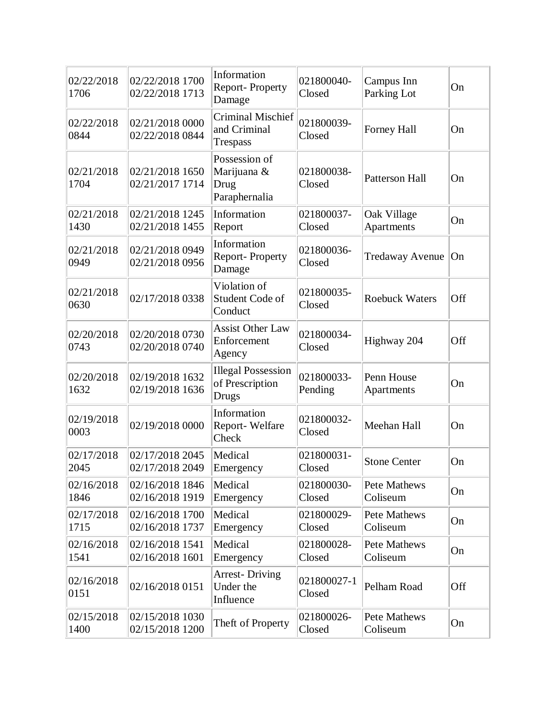| 02/22/2018<br>1706 | 02/22/2018 1700<br>02/22/2018 1713 | Information<br>Report-Property<br>Damage              | 021800040-<br>Closed  | Campus Inn<br>Parking Lot | On  |
|--------------------|------------------------------------|-------------------------------------------------------|-----------------------|---------------------------|-----|
| 02/22/2018<br>0844 | 02/21/2018 0000<br>02/22/2018 0844 | <b>Criminal Mischief</b><br>and Criminal<br>Trespass  | 021800039-<br>Closed  | Forney Hall               | On  |
| 02/21/2018<br>1704 | 02/21/2018 1650<br>02/21/2017 1714 | Possession of<br>Marijuana &<br>Drug<br>Paraphernalia | 021800038-<br>Closed  | <b>Patterson Hall</b>     | On  |
| 02/21/2018<br>1430 | 02/21/2018 1245<br>02/21/2018 1455 | Information<br>Report                                 | 021800037-<br>Closed  | Oak Village<br>Apartments | On  |
| 02/21/2018<br>0949 | 02/21/2018 0949<br>02/21/2018 0956 | Information<br>Report-Property<br>Damage              | 021800036-<br>Closed  | <b>Tredaway Avenue</b>    | On  |
| 02/21/2018<br>0630 | 02/17/2018 0338                    | Violation of<br>Student Code of<br>Conduct            | 021800035-<br>Closed  | <b>Roebuck Waters</b>     | Off |
| 02/20/2018<br>0743 | 02/20/2018 0730<br>02/20/2018 0740 | <b>Assist Other Law</b><br>Enforcement<br>Agency      | 021800034-<br>Closed  | Highway 204               | Off |
| 02/20/2018<br>1632 | 02/19/2018 1632<br>02/19/2018 1636 | <b>Illegal Possession</b><br>of Prescription<br>Drugs | 021800033-<br>Pending | Penn House<br>Apartments  | On  |
| 02/19/2018<br>0003 | 02/19/2018 0000                    | Information<br>Report-Welfare<br>Check                | 021800032-<br>Closed  | Meehan Hall               | On  |
| 02/17/2018<br>2045 | 02/17/2018 2045<br>02/17/2018 2049 | Medical<br>Emergency                                  | 021800031-<br>Closed  | <b>Stone Center</b>       | On  |
| 02/16/2018<br>1846 | 02/16/2018 1846<br>02/16/2018 1919 | Medical<br>Emergency                                  | 021800030-<br>Closed  | Pete Mathews<br>Coliseum  | On  |
| 02/17/2018<br>1715 | 02/16/2018 1700<br>02/16/2018 1737 | Medical<br>Emergency                                  | 021800029-<br>Closed  | Pete Mathews<br>Coliseum  | On  |
| 02/16/2018<br>1541 | 02/16/2018 1541<br>02/16/2018 1601 | Medical<br>Emergency                                  | 021800028-<br>Closed  | Pete Mathews<br>Coliseum  | On  |
| 02/16/2018<br>0151 | 02/16/2018 0151                    | <b>Arrest-Driving</b><br>Under the<br>Influence       | 021800027-1<br>Closed | Pelham Road               | Off |
| 02/15/2018<br>1400 | 02/15/2018 1030<br>02/15/2018 1200 | Theft of Property                                     | 021800026-<br>Closed  | Pete Mathews<br>Coliseum  | On  |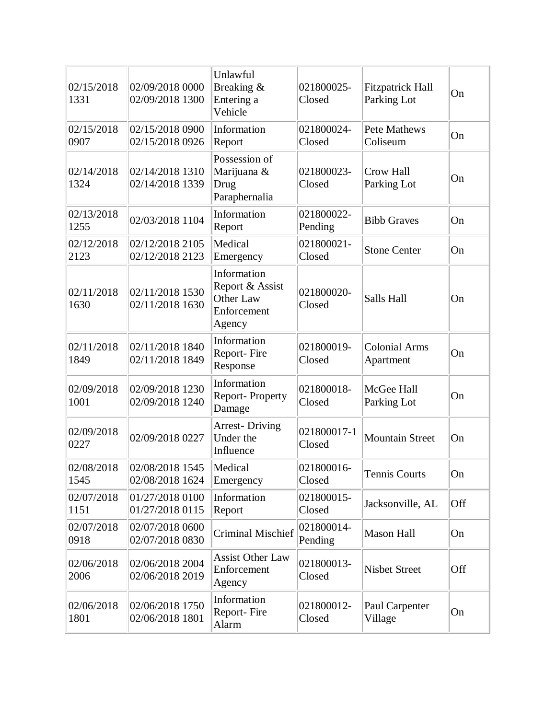| 02/15/2018<br>1331 | 02/09/2018 0000<br>02/09/2018 1300 | Unlawful<br>Breaking &<br>Entering a<br>Vehicle                      | 021800025-<br>Closed  | <b>Fitzpatrick Hall</b><br>Parking Lot | On  |
|--------------------|------------------------------------|----------------------------------------------------------------------|-----------------------|----------------------------------------|-----|
| 02/15/2018<br>0907 | 02/15/2018 0900<br>02/15/2018 0926 | Information<br>Report                                                | 021800024-<br>Closed  | <b>Pete Mathews</b><br>Coliseum        | On  |
| 02/14/2018<br>1324 | 02/14/2018 1310<br>02/14/2018 1339 | Possession of<br>Marijuana &<br>Drug<br>Paraphernalia                | 021800023-<br>Closed  | Crow Hall<br>Parking Lot               | On  |
| 02/13/2018<br>1255 | 02/03/2018 1104                    | Information<br>Report                                                | 021800022-<br>Pending | <b>Bibb Graves</b>                     | On  |
| 02/12/2018<br>2123 | 02/12/2018 2105<br>02/12/2018 2123 | Medical<br>Emergency                                                 | 021800021-<br>Closed  | <b>Stone Center</b>                    | On  |
| 02/11/2018<br>1630 | 02/11/2018 1530<br>02/11/2018 1630 | Information<br>Report & Assist<br>Other Law<br>Enforcement<br>Agency | 021800020-<br>Closed  | Salls Hall                             | On  |
| 02/11/2018<br>1849 | 02/11/2018 1840<br>02/11/2018 1849 | Information<br>Report-Fire<br>Response                               | 021800019-<br>Closed  | <b>Colonial Arms</b><br>Apartment      | On  |
| 02/09/2018<br>1001 | 02/09/2018 1230<br>02/09/2018 1240 | Information<br>Report-Property<br>Damage                             | 021800018-<br>Closed  | McGee Hall<br>Parking Lot              | On  |
| 02/09/2018<br>0227 | 02/09/2018 0227                    | <b>Arrest-Driving</b><br>Under the<br>Influence                      | 021800017-1<br>Closed | <b>Mountain Street</b>                 | On  |
| 02/08/2018<br>1545 | 02/08/2018 1545<br>02/08/2018 1624 | Medical<br>Emergency                                                 | 021800016-<br>Closed  | Tennis Courts                          | On  |
| 02/07/2018<br>1151 | 01/27/2018 0100<br>01/27/2018 0115 | Information<br>Report                                                | 021800015-<br>Closed  | Jacksonville, AL                       | Off |
| 02/07/2018<br>0918 | 02/07/2018 0600<br>02/07/2018 0830 | <b>Criminal Mischief</b>                                             | 021800014-<br>Pending | <b>Mason Hall</b>                      | On  |
| 02/06/2018<br>2006 | 02/06/2018 2004<br>02/06/2018 2019 | <b>Assist Other Law</b><br>Enforcement<br>Agency                     | 021800013-<br>Closed  | <b>Nisbet Street</b>                   | Off |
| 02/06/2018<br>1801 | 02/06/2018 1750<br>02/06/2018 1801 | Information<br>Report-Fire<br>Alarm                                  | 021800012-<br>Closed  | Paul Carpenter<br>Village              | On  |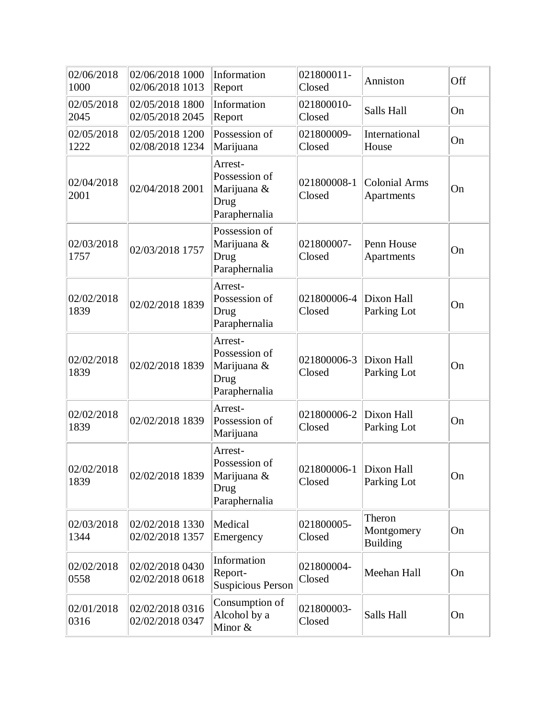| 02/06/2018<br>1000 | 02/06/2018 1000<br>02/06/2018 1013 | Information<br>Report                                            | 021800011-<br>Closed  | Anniston                                | Off |
|--------------------|------------------------------------|------------------------------------------------------------------|-----------------------|-----------------------------------------|-----|
| 02/05/2018<br>2045 | 02/05/2018 1800<br>02/05/2018 2045 | Information<br>Report                                            | 021800010-<br>Closed  | Salls Hall                              | On  |
| 02/05/2018<br>1222 | 02/05/2018 1200<br>02/08/2018 1234 | Possession of<br>Marijuana                                       | 021800009-<br>Closed  | International<br>House                  | On  |
| 02/04/2018<br>2001 | 02/04/2018 2001                    | Arrest-<br>Possession of<br>Marijuana &<br>Drug<br>Paraphernalia | 021800008-1<br>Closed | <b>Colonial Arms</b><br>Apartments      | On  |
| 02/03/2018<br>1757 | 02/03/2018 1757                    | Possession of<br>Marijuana &<br>Drug<br>Paraphernalia            | 021800007-<br>Closed  | Penn House<br>Apartments                | On  |
| 02/02/2018<br>1839 | 02/02/2018 1839                    | Arrest-<br>Possession of<br>Drug<br>Paraphernalia                | 021800006-4<br>Closed | Dixon Hall<br>Parking Lot               | On  |
| 02/02/2018<br>1839 | 02/02/2018 1839                    | Arrest-<br>Possession of<br>Marijuana &<br>Drug<br>Paraphernalia | 021800006-3<br>Closed | Dixon Hall<br>Parking Lot               | On  |
| 02/02/2018<br>1839 | 02/02/2018 1839                    | Arrest-<br>Possession of<br>Marijuana                            | 021800006-2<br>Closed | Dixon Hall<br>Parking Lot               | On  |
| 02/02/2018<br>1839 | 02/02/2018 1839                    | Arrest-<br>Possession of<br>Marijuana &<br>Drug<br>Paraphernalia | 021800006-1<br>Closed | Dixon Hall<br>Parking Lot               | On  |
| 02/03/2018<br>1344 | 02/02/2018 1330<br>02/02/2018 1357 | Medical<br>Emergency                                             | 021800005-<br>Closed  | Theron<br>Montgomery<br><b>Building</b> | On  |
| 02/02/2018<br>0558 | 02/02/2018 0430<br>02/02/2018 0618 | Information<br>Report-<br><b>Suspicious Person</b>               | 021800004-<br>Closed  | Meehan Hall                             | On  |
| 02/01/2018<br>0316 | 02/02/2018 0316<br>02/02/2018 0347 | Consumption of<br>Alcohol by a<br>Minor &                        | 021800003-<br>Closed  | Salls Hall                              | On  |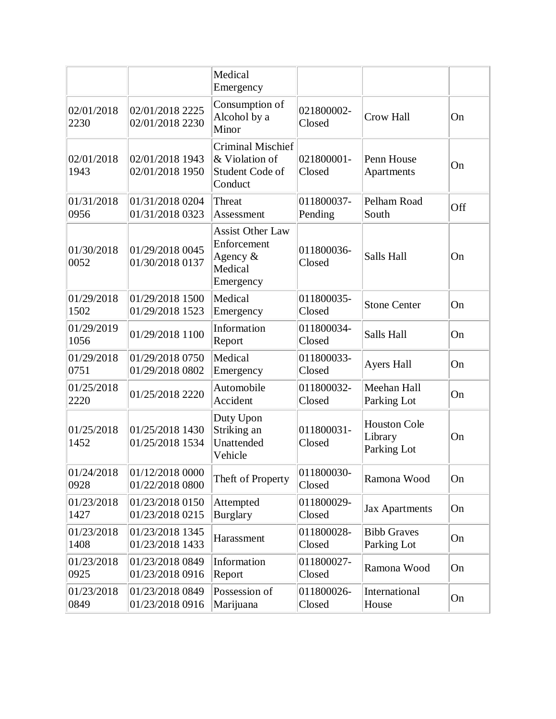|                    |                                    | Medical<br>Emergency                                                          |                       |                                               |     |
|--------------------|------------------------------------|-------------------------------------------------------------------------------|-----------------------|-----------------------------------------------|-----|
| 02/01/2018<br>2230 | 02/01/2018 2225<br>02/01/2018 2230 | Consumption of<br>Alcohol by a<br>Minor                                       | 021800002-<br>Closed  | <b>Crow Hall</b>                              | On  |
| 02/01/2018<br>1943 | 02/01/2018 1943<br>02/01/2018 1950 | <b>Criminal Mischief</b><br>& Violation of<br>Student Code of<br>Conduct      | 021800001-<br>Closed  | Penn House<br>Apartments                      | On  |
| 01/31/2018<br>0956 | 01/31/2018 0204<br>01/31/2018 0323 | Threat<br>Assessment                                                          | 011800037-<br>Pending | Pelham Road<br>South                          | Off |
| 01/30/2018<br>0052 | 01/29/2018 0045<br>01/30/2018 0137 | <b>Assist Other Law</b><br>Enforcement<br>Agency $\&$<br>Medical<br>Emergency | 011800036-<br>Closed  | Salls Hall                                    | On  |
| 01/29/2018<br>1502 | 01/29/2018 1500<br>01/29/2018 1523 | Medical<br>Emergency                                                          | 011800035-<br>Closed  | <b>Stone Center</b>                           | On  |
| 01/29/2019<br>1056 | 01/29/2018 1100                    | Information<br>Report                                                         | 011800034-<br>Closed  | Salls Hall                                    | On  |
| 01/29/2018<br>0751 | 01/29/2018 0750<br>01/29/2018 0802 | Medical<br>Emergency                                                          | 011800033-<br>Closed  | <b>Ayers Hall</b>                             | On  |
| 01/25/2018<br>2220 | 01/25/2018 2220                    | Automobile<br>Accident                                                        | 011800032-<br>Closed  | Meehan Hall<br>Parking Lot                    | On  |
| 01/25/2018<br>1452 | 01/25/2018 1430<br>01/25/2018 1534 | Duty Upon<br>Striking an<br>Unattended<br>Vehicle                             | 011800031-<br>Closed  | <b>Houston Cole</b><br>Library<br>Parking Lot | On  |
| 01/24/2018<br>0928 | 01/12/2018 0000<br>01/22/2018 0800 | Theft of Property                                                             | 011800030-<br>Closed  | Ramona Wood                                   | On  |
| 01/23/2018<br>1427 | 01/23/2018 0150<br>01/23/2018 0215 | Attempted<br><b>Burglary</b>                                                  | 011800029-<br>Closed  | <b>Jax Apartments</b>                         | On  |
| 01/23/2018<br>1408 | 01/23/2018 1345<br>01/23/2018 1433 | Harassment                                                                    | 011800028-<br>Closed  | <b>Bibb Graves</b><br>Parking Lot             | On  |
| 01/23/2018<br>0925 | 01/23/2018 0849<br>01/23/2018 0916 | Information<br>Report                                                         | 011800027-<br>Closed  | Ramona Wood                                   | On  |
| 01/23/2018<br>0849 | 01/23/2018 0849<br>01/23/2018 0916 | Possession of<br>Marijuana                                                    | 011800026-<br>Closed  | International<br>House                        | On  |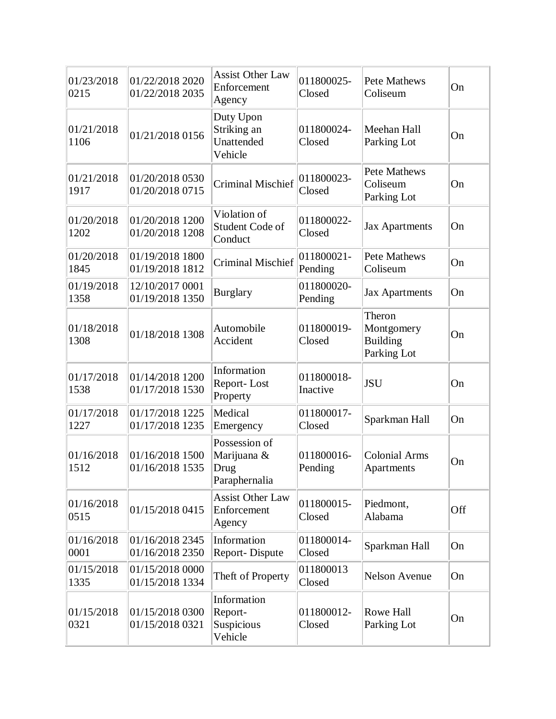| 01/23/2018<br>0215 | 01/22/2018 2020<br>01/22/2018 2035 | <b>Assist Other Law</b><br>Enforcement<br>Agency      | 011800025-<br>Closed   | Pete Mathews<br>Coliseum                               | On  |
|--------------------|------------------------------------|-------------------------------------------------------|------------------------|--------------------------------------------------------|-----|
| 01/21/2018<br>1106 | 01/21/2018 0156                    | Duty Upon<br>Striking an<br>Unattended<br>Vehicle     | 011800024-<br>Closed   | Meehan Hall<br>Parking Lot                             | On  |
| 01/21/2018<br>1917 | 01/20/2018 0530<br>01/20/2018 0715 | <b>Criminal Mischief</b>                              | 011800023-<br>Closed   | Pete Mathews<br>Coliseum<br>Parking Lot                | On  |
| 01/20/2018<br>1202 | 01/20/2018 1200<br>01/20/2018 1208 | Violation of<br>Student Code of<br>Conduct            | 011800022-<br>Closed   | <b>Jax Apartments</b>                                  | On  |
| 01/20/2018<br>1845 | 01/19/2018 1800<br>01/19/2018 1812 | <b>Criminal Mischief</b>                              | 011800021-<br>Pending  | Pete Mathews<br>Coliseum                               | On  |
| 01/19/2018<br>1358 | 12/10/2017 0001<br>01/19/2018 1350 | <b>Burglary</b>                                       | 011800020-<br>Pending  | <b>Jax Apartments</b>                                  | On  |
| 01/18/2018<br>1308 | 01/18/2018 1308                    | Automobile<br>Accident                                | 011800019-<br>Closed   | Theron<br>Montgomery<br><b>Building</b><br>Parking Lot | On  |
| 01/17/2018<br>1538 | 01/14/2018 1200<br>01/17/2018 1530 | Information<br>Report-Lost<br>Property                | 011800018-<br>Inactive | <b>JSU</b>                                             | On  |
| 01/17/2018<br>1227 | 01/17/2018 1225<br>01/17/2018 1235 | Medical<br>Emergency                                  | 011800017-<br>Closed   | Sparkman Hall                                          | On  |
| 01/16/2018<br>1512 | 01/16/2018 1500<br>01/16/2018 1535 | Possession of<br>Marijuana &<br>Drug<br>Paraphernalia | 011800016-<br>Pending  | <b>Colonial Arms</b><br>Apartments                     | On  |
| 01/16/2018<br>0515 | 01/15/2018 0415                    | <b>Assist Other Law</b><br>Enforcement<br>Agency      | 011800015-<br>Closed   | Piedmont,<br>Alabama                                   | Off |
| 01/16/2018<br>0001 | 01/16/2018 2345<br>01/16/2018 2350 | Information<br>Report-Dispute                         | 011800014-<br>Closed   | Sparkman Hall                                          | On  |
| 01/15/2018<br>1335 | 01/15/2018 0000<br>01/15/2018 1334 | Theft of Property                                     | 011800013<br>Closed    | <b>Nelson Avenue</b>                                   | On  |
| 01/15/2018<br>0321 | 01/15/2018 0300<br>01/15/2018 0321 | Information<br>Report-<br>Suspicious<br>Vehicle       | 011800012-<br>Closed   | Rowe Hall<br>Parking Lot                               | On  |